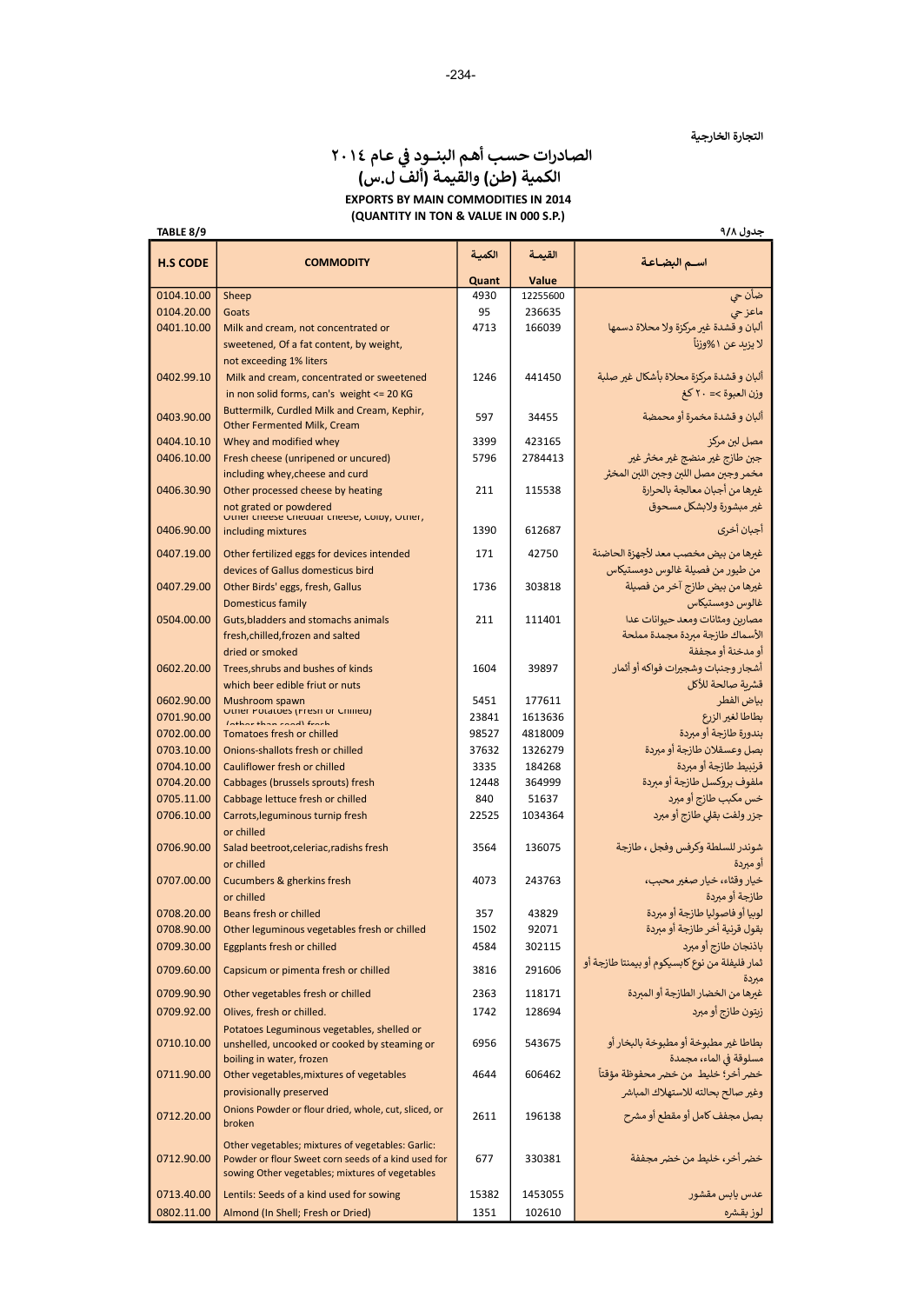# الصادرات حسب أهم البنــود في عـام ٢٠١٤ الكمية (طن) والقيمة (ألف ل.س) EXPORTS BY MAIN COMMODITIES IN 2014 (QUANTITY IN TON & VALUE IN 000 S.P.)

جدول ٩/٨

| TABLE 8/9       |                                                                                                          |        |          | جدول ۹/۸                                                           |
|-----------------|----------------------------------------------------------------------------------------------------------|--------|----------|--------------------------------------------------------------------|
| <b>H.S CODE</b> | <b>COMMODITY</b>                                                                                         | الكمية | القيمة   | اسم البضاعة                                                        |
|                 |                                                                                                          | Quant  | Value    |                                                                    |
| 0104.10.00      | Sheep                                                                                                    | 4930   | 12255600 | ضأن حي                                                             |
| 0104.20.00      | Goats                                                                                                    | 95     | 236635   | ماعزحى                                                             |
| 0401.10.00      | Milk and cream, not concentrated or                                                                      | 4713   | 166039   | ألبان و قشدة غير مركزة ولا محلاة دسمها                             |
|                 | sweetened, Of a fat content, by weight,                                                                  |        |          | لا يزيد عن ١%وزناً                                                 |
|                 | not exceeding 1% liters                                                                                  |        |          |                                                                    |
| 0402.99.10      | Milk and cream, concentrated or sweetened                                                                | 1246   | 441450   | ألبان و قشدة مركزة محلاة بأشكال غير صلبة                           |
|                 | in non solid forms, can's weight <= 20 KG                                                                |        |          | وزن العبوة >= ٢٠ كغ                                                |
| 0403.90.00      | Buttermilk, Curdled Milk and Cream, Kephir,<br>Other Fermented Milk, Cream                               | 597    | 34455    | ألبان و قشدة مخمرة أو محمضة                                        |
| 0404.10.10      | Whey and modified whey                                                                                   | 3399   | 423165   | مصل لبن مركز                                                       |
| 0406.10.00      | Fresh cheese (unripened or uncured)                                                                      | 5796   | 2784413  | جبن طازج غير منضج غير مخثر غير                                     |
|                 | including whey, cheese and curd                                                                          |        |          | مخمر وجبن مصل اللبن وجبن اللبن المخثر                              |
| 0406.30.90      | Other processed cheese by heating                                                                        | 211    | 115538   | غيرها من أجبان معالجة بالحرارة                                     |
|                 | not grated or powdered                                                                                   |        |          | غير مبشورة ولابشكل مسحوق                                           |
| 0406.90.00      | Uther cheese Cheddar cheese, Colby, Uther,<br>including mixtures                                         | 1390   | 612687   | أجبان أخرى                                                         |
|                 |                                                                                                          |        |          |                                                                    |
| 0407.19.00      | Other fertilized eggs for devices intended                                                               | 171    | 42750    | غيرها من بيض مخصب معد لأجهزة الحاضنة                               |
|                 | devices of Gallus domesticus bird                                                                        |        |          | من طيور من فصيلة غالوس دومستيكاس                                   |
| 0407.29.00      | Other Birds' eggs, fresh, Gallus                                                                         | 1736   | 303818   | غيرها من بيض طازج آخر من فصيلة                                     |
|                 | Domesticus family                                                                                        |        |          | غالوس دومستيكاس                                                    |
| 0504.00.00      | Guts, bladders and stomachs animals<br>fresh, chilled, frozen and salted                                 | 211    | 111401   | مصارين ومثانات ومعد حيوانات عدا<br>الأسماك طازجة مبردة مجمدة مملحة |
|                 | dried or smoked                                                                                          |        |          | أو مدخنة أو مجففة                                                  |
| 0602.20.00      | Trees.shrubs and bushes of kinds                                                                         | 1604   | 39897    | أشجار وجنبات وشجيرات فواكه أو أثمار                                |
|                 | which beer edible friut or nuts                                                                          |        |          | قشربة صالحة للأكل                                                  |
| 0602.90.00      | Mushroom spawn                                                                                           | 5451   | 177611   | بياض الفطر                                                         |
| 0701.90.00      | Other Potatoes (Fresh or Chineu)<br>than candifered                                                      | 23841  | 1613636  | بطاطا لغير الزرع                                                   |
| 0702.00.00      | <b>Tomatoes fresh or chilled</b>                                                                         | 98527  | 4818009  | يندورة طازجة أو مبردة                                              |
| 0703.10.00      | Onions-shallots fresh or chilled                                                                         | 37632  | 1326279  | بصل وعسقلان طازجة أو مبردة                                         |
| 0704.10.00      | Cauliflower fresh or chilled                                                                             | 3335   | 184268   | قرنبيط طازجة أو مبردة                                              |
| 0704.20.00      | Cabbages (brussels sprouts) fresh                                                                        | 12448  | 364999   | ملفوف بروكسل طازجة أو مبردة                                        |
| 0705.11.00      | Cabbage lettuce fresh or chilled                                                                         | 840    | 51637    | خس مكبب طازج أو مبرد                                               |
| 0706.10.00      | Carrots, leguminous turnip fresh                                                                         | 22525  | 1034364  | جزر ولفت بقلى طازج أو مبرد                                         |
| 0706.90.00      | or chilled                                                                                               |        | 136075   | شوندر للسلطة وكرفس وفجل ، طازجة                                    |
|                 | Salad beetroot, celeriac, radishs fresh<br>or chilled                                                    | 3564   |          | أو مبردة                                                           |
| 0707.00.00      | Cucumbers & gherkins fresh                                                                               | 4073   | 243763   | خيار وقثاء، خيار صغير محبب،                                        |
|                 | or chilled                                                                                               |        |          | طازجة أو مبردة                                                     |
| 0708.20.00      | Beans fresh or chilled                                                                                   | 357    | 43829    | لوبيا أو فاصوليا طازجة أو مبردة                                    |
| 0708.90.00      | Other leguminous vegetables fresh or chilled                                                             | 1502   | 92071    | بقول قرنية أخر طازجة أو مبردة                                      |
| 0709.30.00      | <b>Eggplants fresh or chilled</b>                                                                        | 4584   | 302115   | باذنجان طازج أو مبرد                                               |
| 0709.60.00      | Capsicum or pimenta fresh or chilled                                                                     | 3816   | 291606   | ثمار فليفلة من نوع كابسيكوم أو بيمنتا طازجة أو                     |
| 0709.90.90      | Other vegetables fresh or chilled                                                                        | 2363   | 118171   | مبردة<br>غبرها من الخضار الطازجة أو المبردة                        |
| 0709.92.00      | Olives, fresh or chilled.                                                                                | 1742   | 128694   | زبتون طازج أو مبرد                                                 |
|                 | Potatoes Leguminous vegetables, shelled or                                                               |        |          |                                                                    |
| 0710.10.00      | unshelled, uncooked or cooked by steaming or                                                             | 6956   | 543675   | بطاطا غير مطبوخة أو مطبوخة بالبخار أو                              |
|                 | boiling in water, frozen                                                                                 |        |          | مسلوقة في الماء، مجمدة                                             |
| 0711.90.00      | Other vegetables, mixtures of vegetables                                                                 | 4644   | 606462   | خضر أخر؛ خليط من خضر محفوظة مؤقتاً                                 |
|                 | provisionally preserved                                                                                  |        |          | وغير صالح بحالته للاستهلاك المباشر                                 |
| 0712.20.00      | Onions Powder or flour dried, whole, cut, sliced, or<br>broken                                           | 2611   | 196138   | بصل مجفف كامل أو مقطع أو مشرح                                      |
|                 |                                                                                                          |        |          |                                                                    |
| 0712.90.00      | Other vegetables; mixtures of vegetables: Garlic:<br>Powder or flour Sweet corn seeds of a kind used for | 677    | 330381   | خضر أخر، خليط من خضر مجففة                                         |
|                 | sowing Other vegetables; mixtures of vegetables                                                          |        |          |                                                                    |
| 0713.40.00      | Lentils: Seeds of a kind used for sowing                                                                 | 15382  | 1453055  | عدس يابس مقشور                                                     |
| 0802.11.00      | Almond (In Shell; Fresh or Dried)                                                                        | 1351   | 102610   | لوز بقشره                                                          |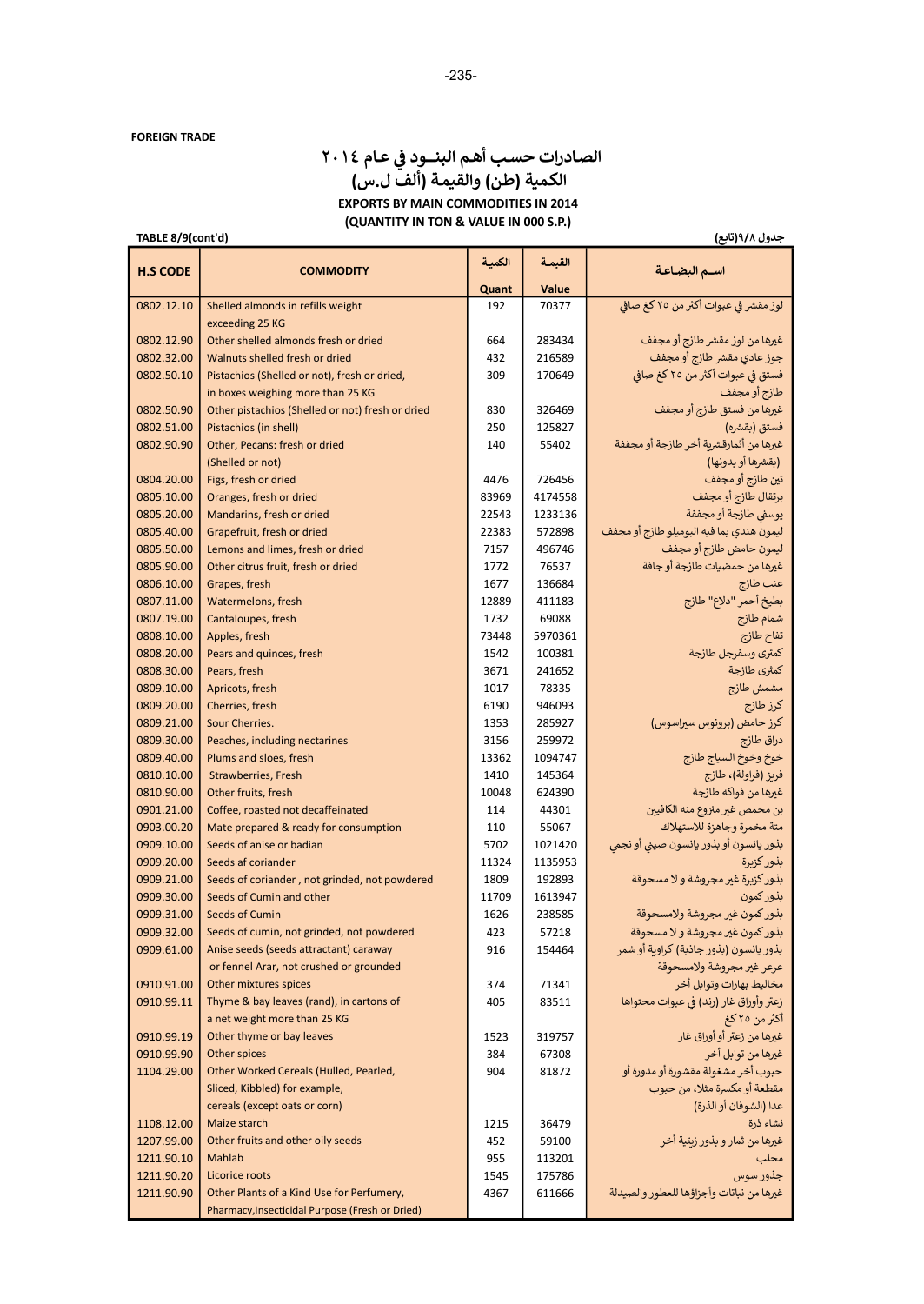# الصادرات حسب أهم البنــود في عـام ٢٠١٤ الكمية (طن) والقيمة (ألف ل.س) EXPORTS BY MAIN COMMODITIES IN 2014 (QUANTITY IN TON & VALUE IN 000 S.P.)

TABLE 8/9(cont'd)

جدول ٩/٨(تابع)

| <b>H.S CODE</b>          | <b>COMMODITY</b>                                                 | الكمية     | القيمة           | اسم البضاعة                                                                |
|--------------------------|------------------------------------------------------------------|------------|------------------|----------------------------------------------------------------------------|
|                          |                                                                  | Quant      | Value            |                                                                            |
| 0802.12.10               | Shelled almonds in refills weight                                | 192        | 70377            | لوز مقشر في عبوات أكثر من ٢٥ كغ صافي                                       |
|                          | exceeding 25 KG<br>Other shelled almonds fresh or dried          |            |                  |                                                                            |
| 0802.12.90               | Walnuts shelled fresh or dried                                   | 664        | 283434<br>216589 | غيرها من لوز مقشر طازج أو مجفف<br>جوز عادي مقشر طازج أو مجفف               |
| 0802.32.00<br>0802.50.10 | Pistachios (Shelled or not), fresh or dried,                     | 432<br>309 | 170649           | فستق في عبوات أكثر من ٢٥ كغ صافي                                           |
|                          | in boxes weighing more than 25 KG                                |            |                  | طازج أو مجفف                                                               |
| 0802.50.90               | Other pistachios (Shelled or not) fresh or dried                 | 830        | 326469           | غيرها من فستق طازج أو مجفف                                                 |
| 0802.51.00               | Pistachios (in shell)                                            | 250        | 125827           | فستق (بقشره)                                                               |
| 0802.90.90               | Other, Pecans: fresh or dried                                    | 140        | 55402            | غيرها من أثمارقشربة أخر طازجة أو مجففة                                     |
|                          | (Shelled or not)                                                 |            |                  | (بقشرها أو بدونها)                                                         |
| 0804.20.00               | Figs, fresh or dried                                             | 4476       | 726456           | تين طازج أو مجفف                                                           |
| 0805.10.00               | Oranges, fresh or dried                                          | 83969      | 4174558          | برتقال طازج أو مجفف                                                        |
| 0805.20.00               | Mandarins, fresh or dried                                        | 22543      | 1233136          | يوسفي طازجة أو مجففة                                                       |
| 0805.40.00               | Grapefruit, fresh or dried                                       | 22383      | 572898           | ليمون هندي بما فيه البوميلو طازج أو مجفف                                   |
| 0805.50.00               | Lemons and limes, fresh or dried                                 | 7157       | 496746           | ليمون حامض طازج أو مجفف                                                    |
| 0805.90.00               | Other citrus fruit, fresh or dried                               | 1772       | 76537            | غيرها من حمضيات طازجة أو جافة                                              |
| 0806.10.00               | Grapes, fresh                                                    | 1677       | 136684           | عنب طازج                                                                   |
| 0807.11.00               | Watermelons, fresh                                               | 12889      | 411183           | بطيخ أحمر "دلاع" طازج                                                      |
| 0807.19.00               | Cantaloupes, fresh                                               | 1732       | 69088            | شمام طازج                                                                  |
| 0808.10.00               | Apples, fresh                                                    | 73448      | 5970361          | تفاح طازج                                                                  |
| 0808.20.00               | Pears and quinces, fresh                                         | 1542       | 100381           | كمثرى وسفرجل طازجة                                                         |
| 0808.30.00               | Pears, fresh                                                     | 3671       | 241652           | كمثرى طازجة                                                                |
| 0809.10.00               | Apricots, fresh                                                  | 1017       | 78335            | مشمش طازج                                                                  |
| 0809.20.00               | Cherries, fresh                                                  | 6190       | 946093           | كرز طازج                                                                   |
| 0809.21.00               | Sour Cherries.                                                   | 1353       | 285927           | كرز حامض (برونوس سيراسوس)                                                  |
| 0809.30.00               | Peaches, including nectarines                                    | 3156       | 259972           | دراق طازج                                                                  |
| 0809.40.00               | Plums and sloes, fresh                                           | 13362      | 1094747          | خوخ وخوخ السياج طازج                                                       |
| 0810.10.00               | Strawberries, Fresh                                              | 1410       | 145364           | فريز (فراولة)، طازج                                                        |
| 0810.90.00               | Other fruits, fresh                                              | 10048      | 624390           | غيرها من فواكه طازجة                                                       |
| 0901.21.00               | Coffee, roasted not decaffeinated                                | 114        | 44301            | بن محمص غير منزوع منه الكافيين                                             |
| 0903.00.20               | Mate prepared & ready for consumption                            | 110        | 55067            | متة مخمرة وجاهزة للاستهلاك                                                 |
| 0909.10.00               | Seeds of anise or badian                                         | 5702       | 1021420          | بذور يانسون أو بذور يانسون صيني أو نجمى                                    |
| 0909.20.00               | Seeds af coriander                                               | 11324      | 1135953          | بذور كزيرة                                                                 |
| 0909.21.00               | Seeds of coriander, not grinded, not powdered                    | 1809       | 192893           | بذور كزبرة غير مجروشة ولا مسحوقة                                           |
| 0909.30.00               | Seeds of Cumin and other                                         | 11709      | 1613947          | بذور كمون                                                                  |
| 0909.31.00               | Seeds of Cumin                                                   | 1626       | 238585           | بذور كمون غير مجروشة ولامسحوقة                                             |
| 0909.32.00<br>0909.61.00 | Seeds of cumin, not grinded, not powdered                        | 423        | 57218            | بذور كمون غير مجروشة و لا مسحوقة<br>بذور يانسون (بذور جاذبة) كراوية أو شمر |
|                          | Anise seeds (seeds attractant) caraway                           | 916        | 154464           | عرعر غير مجروشة ولامسحوقة                                                  |
| 0910.91.00               | or fennel Arar, not crushed or grounded<br>Other mixtures spices | 374        | 71341            | مخاليط بهارات وتوابل أخر                                                   |
| 0910.99.11               | Thyme & bay leaves (rand), in cartons of                         | 405        | 83511            | زعتر وأوراق غار (رند) في عبوات محتواها                                     |
|                          | a net weight more than 25 KG                                     |            |                  | أكثر من ٢٥ كغ                                                              |
| 0910.99.19               | Other thyme or bay leaves                                        | 1523       | 319757           | غيرها من زعتر أو أوراق غار                                                 |
| 0910.99.90               | Other spices                                                     | 384        | 67308            | غيرها من توابل أخر                                                         |
| 1104.29.00               | Other Worked Cereals (Hulled, Pearled,                           | 904        | 81872            | حبوب أخر مشغولة مقشورة أو مدورة أو                                         |
|                          | Sliced, Kibbled) for example,                                    |            |                  | مقطعة أو مكسرة مثلا، من حبوب                                               |
|                          | cereals (except oats or corn)                                    |            |                  | عدا (الشوفان أو الذرة)                                                     |
| 1108.12.00               | Maize starch                                                     | 1215       | 36479            | نشاء ذرة                                                                   |
| 1207.99.00               | Other fruits and other oily seeds                                | 452        | 59100            | غيرها من ثمار و بذور زبتية أخر                                             |
| 1211.90.10               | Mahlab                                                           | 955        | 113201           | محلب                                                                       |
| 1211.90.20               | Licorice roots                                                   | 1545       | 175786           | جذور سوس                                                                   |
| 1211.90.90               | Other Plants of a Kind Use for Perfumery,                        | 4367       | 611666           | غيرها من نباتات وأجزاؤها للعطور والصيدلة                                   |
|                          | Pharmacy, Insecticidal Purpose (Fresh or Dried)                  |            |                  |                                                                            |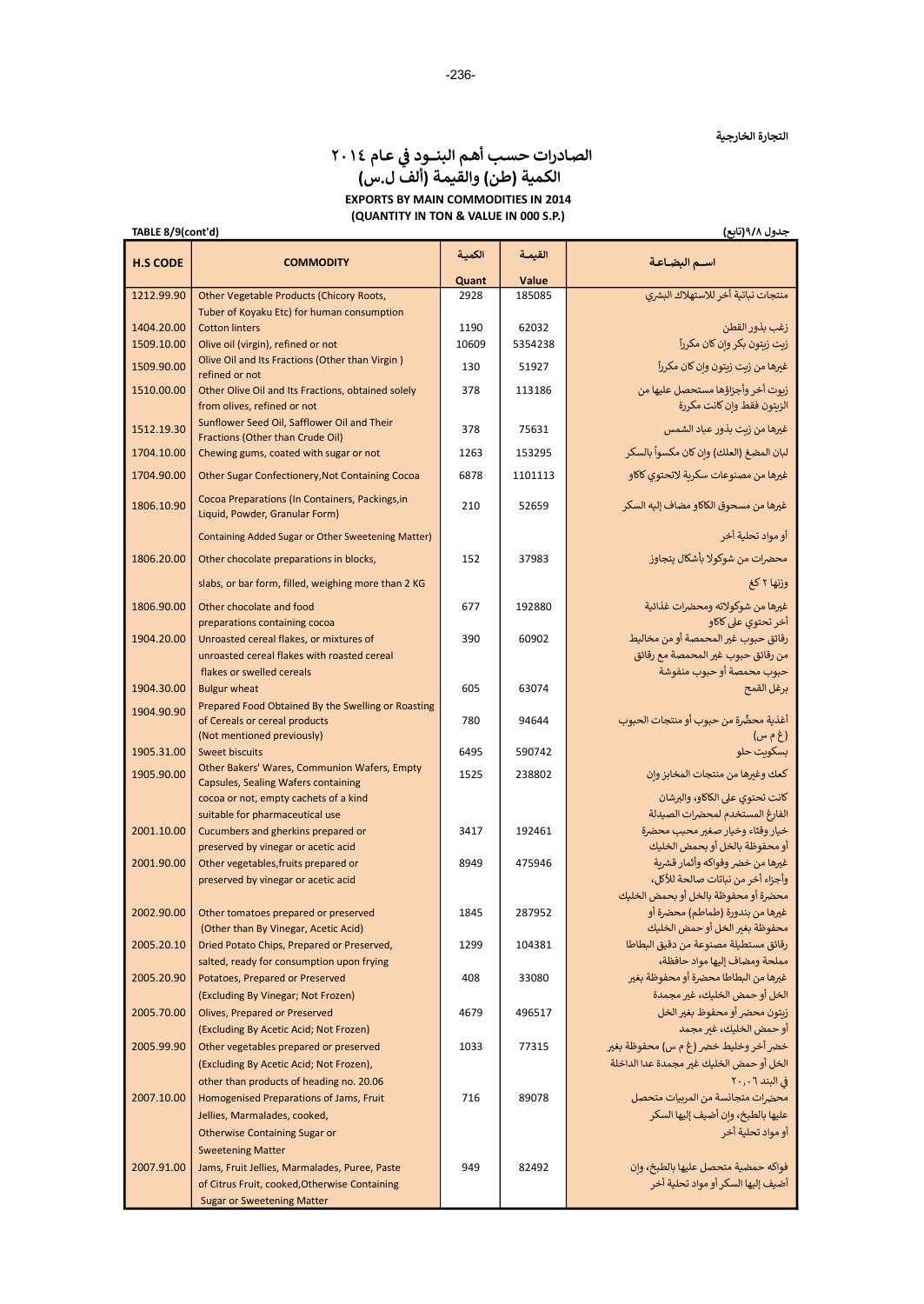# الصادرات حسب أهم البنــود في عـام ٢٠١٤ الكمية (طن) والقيمة (ألف ل.س) EXPORTS BY MAIN COMMODITIES IN 2014 (QUANTITY IN TON & VALUE IN 000 S.P.)

TABLE 8/9(cont'd)

| جدول ۹/۸(تابع) |  |
|----------------|--|

| <b>H.S CODE</b> | <b>COMMODITY</b>                                                                      | الكمية | القيمة  | اسـم البضـاعـة                                                         |
|-----------------|---------------------------------------------------------------------------------------|--------|---------|------------------------------------------------------------------------|
|                 |                                                                                       | Quant  | Value   |                                                                        |
| 1212.99.90      | <b>Other Vegetable Products (Chicory Roots,</b>                                       | 2928   | 185085  | منتجات نباتية أخر للاستهلاك البشري                                     |
|                 | Tuber of Koyaku Etc) for human consumption                                            |        |         |                                                                        |
| 1404.20.00      | <b>Cotton linters</b>                                                                 | 1190   | 62032   | زغب بذور القطن                                                         |
| 1509.10.00      | Olive oil (virgin), refined or not<br>Olive Oil and Its Fractions (Other than Virgin) | 10609  | 5354238 | زیت زیتون بکر وإن کان مکرراً                                           |
| 1509.90.00      | refined or not                                                                        | 130    | 51927   | غيرها من زبت زيتون وإن كان مكرراً                                      |
| 1510.00.00      | Other Olive Oil and Its Fractions, obtained solely<br>from olives, refined or not     | 378    | 113186  | زيوت أخر وأجزاؤها مستحصل عليها من<br>الزيتون فقط وإن كانت مكررة        |
| 1512.19.30      | Sunflower Seed Oil, Safflower Oil and Their<br>Fractions (Other than Crude Oil)       | 378    | 75631   | غيرها من زبت بذور عباد الشمس                                           |
| 1704.10.00      | Chewing gums, coated with sugar or not                                                | 1263   | 153295  | لبان المضغ (العلك) وإن كان مكسواً بالسكر                               |
| 1704.90.00      | Other Sugar Confectionery, Not Containing Cocoa                                       | 6878   | 1101113 | غيرها من مصنوعات سكربة لاتحتوى كاكاو                                   |
| 1806.10.90      | Cocoa Preparations (In Containers, Packings, in<br>Liquid, Powder, Granular Form)     | 210    | 52659   | غيرها من مسحوق الكاكاو مضاف إليه السكر                                 |
|                 | Containing Added Sugar or Other Sweetening Matter)                                    |        |         | أو مواد تحلية أخر                                                      |
| 1806.20.00      | Other chocolate preparations in blocks,                                               | 152    | 37983   | محضرات من شوكولا بأشكال يتجاوز                                         |
|                 | slabs, or bar form, filled, weighing more than 2 KG                                   |        |         | وزنها ٢ كغ                                                             |
| 1806.90.00      | Other chocolate and food<br>preparations containing cocoa                             | 677    | 192880  | غيرها من شوكولاته ومحضرات غذائية<br>أخر تحتوي على كاكاو                |
| 1904.20.00      | Unroasted cereal flakes, or mixtures of                                               | 390    | 60902   | رقائق حبوب غير المحمصة أو من مخاليط                                    |
|                 | unroasted cereal flakes with roasted cereal                                           |        |         | من رقائق حبوب غير المحمصة مع رقائق                                     |
|                 | flakes or swelled cereals                                                             |        |         | حبوب محمصة أو حبوب منفوشة                                              |
| 1904.30.00      | <b>Bulgur wheat</b>                                                                   | 605    | 63074   | برغل القمح                                                             |
| 1904.90.90      | Prepared Food Obtained By the Swelling or Roasting<br>of Cereals or cereal products   | 780    | 94644   | أغذية محضَّرة من حبوب أو منتجات الحبوب                                 |
|                 | (Not mentioned previously)                                                            | 6495   | 590742  | (غ م س)                                                                |
| 1905.31.00      | <b>Sweet biscuits</b><br>Other Bakers' Wares, Communion Wafers, Empty                 |        |         | بسكويت حلو                                                             |
| 1905.90.00      | Capsules, Sealing Wafers containing                                                   | 1525   | 238802  | كعك وغيرها من منتجات المخابز وإن                                       |
|                 | cocoa or not, empty cachets of a kind                                                 |        |         | كانت تحتوى على الكاكاو، والبرشان                                       |
| 2001.10.00      | suitable for pharmaceutical use                                                       | 3417   | 192461  | الفارغ المستخدم لمحضرات الصيدلة<br>خيار وقثاء وخيار صغير محبب محضرة    |
|                 | Cucumbers and gherkins prepared or<br>preserved by vinegar or acetic acid             |        |         | أو محفوظة بالخل أو بحمض الخليك                                         |
| 2001.90.00      | Other vegetables, fruits prepared or                                                  | 8949   | 475946  | غيرها من خضر وفواكه وأثمار قشرية                                       |
|                 | preserved by vinegar or acetic acid                                                   |        |         | وأجزاء أخر من نباتات صالحة للأكل،                                      |
|                 |                                                                                       |        |         | محضرة أو محفوظة بالخل أو بحمض الخليك                                   |
| 2002.90.00      | Other tomatoes prepared or preserved                                                  | 1845   | 287952  | غيرها من بندورة (طماطم) محضرة أو                                       |
|                 | (Other than By Vinegar, Acetic Acid)                                                  |        |         | محفوظة بغير الخل أو حمض الخليك                                         |
| 2005.20.10      | Dried Potato Chips, Prepared or Preserved,                                            | 1299   | 104381  | رقائق مستطيلة مصنوعة من دقيق البطاطا                                   |
|                 | salted, ready for consumption upon frying                                             |        |         | مملحة ومضاف إليها مواد حافظة،                                          |
| 2005.20.90      | Potatoes, Prepared or Preserved                                                       | 408    | 33080   | غيرها من البطاطا محضرة أو محفوظة بغير<br>الخل أو حمض الخليك، غير مجمدة |
| 2005.70.00      | (Excluding By Vinegar; Not Frozen)<br><b>Olives, Prepared or Preserved</b>            | 4679   | 496517  | زبتون محضر أو محفوظ بغير الخل                                          |
|                 | (Excluding By Acetic Acid; Not Frozen)                                                |        |         | أو حمض الخليك، غير مجمد                                                |
| 2005.99.90      | Other vegetables prepared or preserved                                                | 1033   | 77315   | خضر أخر وخليط خضر (غ م س) محفوظة بغير                                  |
|                 | (Excluding By Acetic Acid; Not Frozen),                                               |        |         | الخل أو حمض الخليك غير مجمدة عدا الداخلة                               |
|                 | other than products of heading no. 20.06                                              |        |         | في البند ٢٠,٠٦                                                         |
| 2007.10.00      | Homogenised Preparations of Jams, Fruit                                               | 716    | 89078   | محضرات متجانسة من المربيات متحصل                                       |
|                 | Jellies, Marmalades, cooked,                                                          |        |         | عليها بالطبخ، وإن أضيف إليها السكر                                     |
|                 | <b>Otherwise Containing Sugar or</b>                                                  |        |         | أو مواد تحلية أخر                                                      |
|                 | <b>Sweetening Matter</b>                                                              |        |         |                                                                        |
| 2007.91.00      | Jams, Fruit Jellies, Marmalades, Puree, Paste                                         | 949    | 82492   | فواكه حمضية متحصل عليها بالطبخ، وإن                                    |
|                 | of Citrus Fruit, cooked, Otherwise Containing                                         |        |         | أضيف إليها السكر أو مواد تحلية أخر                                     |
|                 | <b>Sugar or Sweetening Matter</b>                                                     |        |         |                                                                        |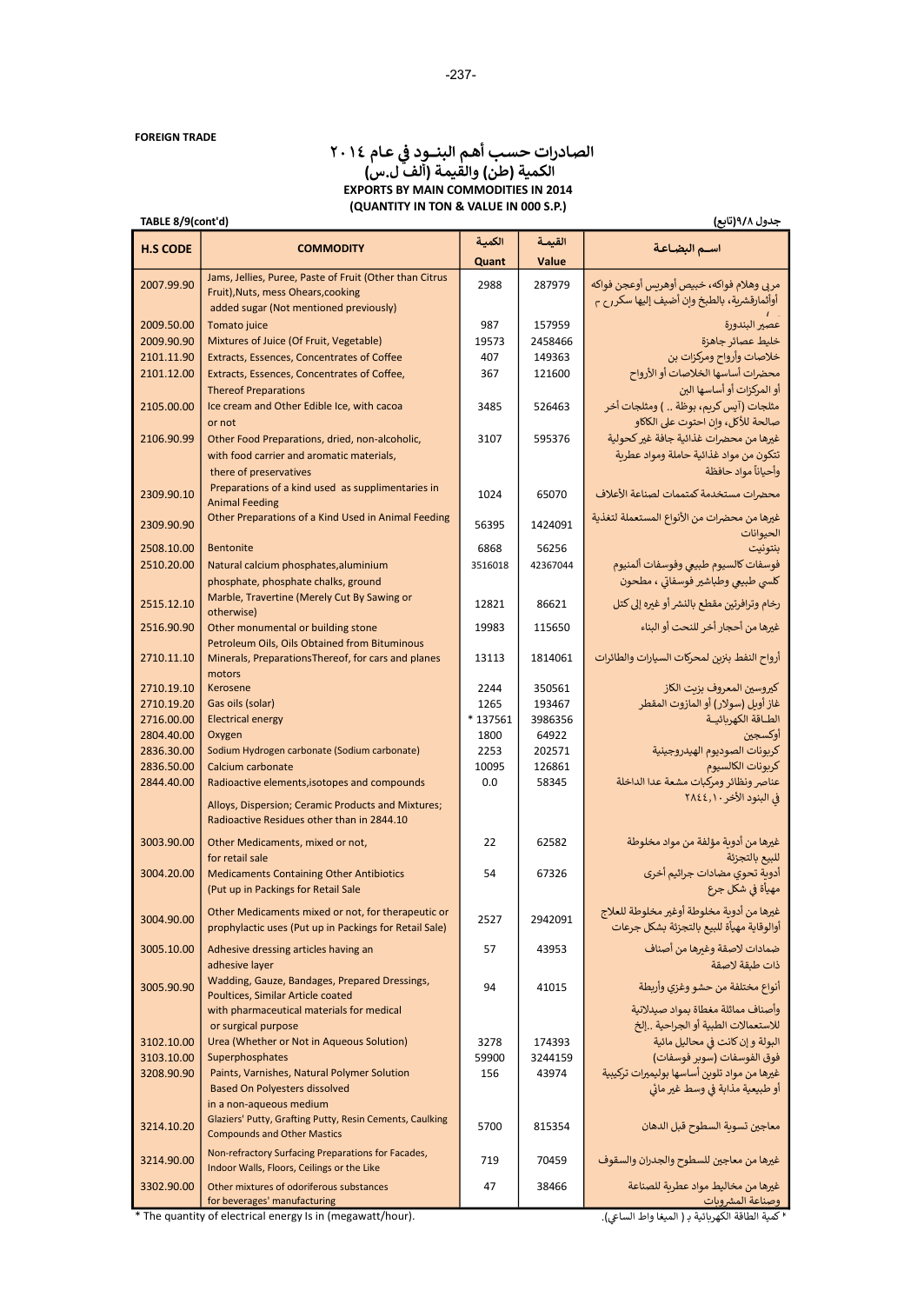#### عــام ٢٠١٤ ᢝ الصـادرات حسـب أᒯـم البنــــود ᣚ <sup>ᡧ</sup> الكمية (طن) والقيمة (ألف ل.س) EXPORTS BY MAIN COMMODITIES IN 2014 (QUANTITY IN TON & VALUE IN 000 S.P.)

# TABLE 8/9(cont'd)

|--|

| <b>H.S CODE</b>          | <b>COMMODITY</b>                                                                                             | الكمية       | القيمة            | اسـم البضـاعـة                                                   |
|--------------------------|--------------------------------------------------------------------------------------------------------------|--------------|-------------------|------------------------------------------------------------------|
|                          |                                                                                                              | Quant        | Value             |                                                                  |
| 2007.99.90               | Jams, Jellies, Puree, Paste of Fruit (Other than Citrus                                                      | 2988         | 287979            | مربى وهلام فواكه، خبيص أوهريس أوعجن فواكه                        |
|                          | Fruit), Nuts, mess Ohears, cooking                                                                           |              |                   | أوأثمارقشرية، بالطبخ وإن أضيف إليها سكر رح م                     |
|                          | added sugar (Not mentioned previously)                                                                       |              |                   |                                                                  |
| 2009.50.00               | Tomato juice                                                                                                 | 987          | 157959            | عصير البندورة                                                    |
| 2009.90.90<br>2101.11.90 | Mixtures of Juice (Of Fruit, Vegetable)<br>Extracts, Essences, Concentrates of Coffee                        | 19573<br>407 | 2458466<br>149363 | خليط عصائر جاهزة<br>خلاصات وأرواح ومركزات بن                     |
| 2101.12.00               | Extracts, Essences, Concentrates of Coffee,                                                                  | 367          | 121600            | محضرات أساسها الخلاصات أو الأرواح                                |
|                          | <b>Thereof Preparations</b>                                                                                  |              |                   | أو المركزات أو أساسها البن                                       |
| 2105.00.00               | Ice cream and Other Edible Ice, with cacoa                                                                   | 3485         | 526463            | مثلجات (آيس كريم، بوظة  ) ومثلجات أخر                            |
|                          | or not                                                                                                       |              |                   | صالحة للأكل، وإن احتوت على الكاكاو                               |
| 2106.90.99               | Other Food Preparations, dried, non-alcoholic,                                                               | 3107         | 595376            | غيرها من محضرات غذائية جافة غير كحولية                           |
|                          | with food carrier and aromatic materials,                                                                    |              |                   | تتكون من مواد غذائية حاملة ومواد عطربة                           |
|                          | there of preservatives                                                                                       |              |                   | وأحياناً مواد حافظة                                              |
| 2309.90.10               | Preparations of a kind used as supplimentaries in                                                            | 1024         | 65070             | محضرات مستخدمة كمتممات لصناعة الأعلاف                            |
|                          | <b>Animal Feeding</b>                                                                                        |              |                   |                                                                  |
| 2309.90.90               | Other Preparations of a Kind Used in Animal Feeding                                                          | 56395        | 1424091           | غيرها من محضرات من الأنواع المستعملة لتغذية                      |
| 2508.10.00               | <b>Bentonite</b>                                                                                             | 6868         | 56256             | الحيوانات<br>بنتونيت                                             |
| 2510.20.00               | Natural calcium phosphates, aluminium                                                                        | 3516018      | 42367044          | فوسفات كالسيوم طبيعي وفوسفات ألمنيوم                             |
|                          | phosphate, phosphate chalks, ground                                                                          |              |                   | كلسي طبيعي وطباشير فوسفاتي ، مطحون                               |
|                          | Marble, Travertine (Merely Cut By Sawing or                                                                  |              |                   |                                                                  |
| 2515.12.10               | otherwise)                                                                                                   | 12821        | 86621             | رخام وترافرتين مقطع بالنشر أو غيره إلى كتل                       |
| 2516.90.90               | Other monumental or building stone                                                                           | 19983        | 115650            | غيرها من أحجار أخر للنحت أو البناء                               |
|                          | Petroleum Oils, Oils Obtained from Bituminous                                                                |              |                   |                                                                  |
| 2710.11.10               | Minerals, Preparations Thereof, for cars and planes                                                          | 13113        | 1814061           | أرواح النفط بنزبن لمحركات السيارات والطائرات                     |
|                          | motors                                                                                                       |              |                   |                                                                  |
| 2710.19.10<br>2710.19.20 | Kerosene<br>Gas oils (solar)                                                                                 | 2244<br>1265 | 350561<br>193467  | كيروسين المعروف بزيت الكاز<br>غاز أوبل (سولار) أو المازوت المقطر |
| 2716.00.00               | <b>Electrical energy</b>                                                                                     | * 137561     | 3986356           | الطـاقة الكهربائيــة                                             |
| 2804.40.00               | Oxygen                                                                                                       | 1800         | 64922             | أوكسجين                                                          |
| 2836.30.00               | Sodium Hydrogen carbonate (Sodium carbonate)                                                                 | 2253         | 202571            | كربونات الصوديوم الهيدروجينية                                    |
| 2836.50.00               | Calcium carbonate                                                                                            | 10095        | 126861            | كربونات الكالسيوم                                                |
| 2844.40.00               | Radioactive elements, isotopes and compounds                                                                 | 0.0          | 58345             | عناصر ونظائر ومركبات مشعة عدا الداخلة                            |
|                          | Alloys, Dispersion; Ceramic Products and Mixtures;                                                           |              |                   | في البنود الأخر ٢٨٤٤,١٠                                          |
|                          | Radioactive Residues other than in 2844.10                                                                   |              |                   |                                                                  |
| 3003.90.00               | Other Medicaments, mixed or not,                                                                             | 22           | 62582             | غيرها من أدوية مؤلفة من مواد مخلوطة                              |
|                          | for retail sale                                                                                              |              |                   | للبيع بالتجزئة                                                   |
| 3004.20.00               | <b>Medicaments Containing Other Antibiotics</b>                                                              | 54           | 67326             | أدوية تحوي مضادات جراثيم أخرى                                    |
|                          | (Put up in Packings for Retail Sale                                                                          |              |                   | مهيأة في شكل جرع                                                 |
|                          |                                                                                                              |              |                   | غيرها من أدوية مخلوطة أوغير مخلوطة للعلاج                        |
| 3004.90.00               | Other Medicaments mixed or not, for therapeutic or<br>prophylactic uses (Put up in Packings for Retail Sale) | 2527         | 2942091           | أوالوقاية مهيأة للبيع بالتجزئة بشكل جرعات                        |
|                          |                                                                                                              |              |                   |                                                                  |
| 3005.10.00               | Adhesive dressing articles having an                                                                         | 57           | 43953             | ضمادات لاصقة وغيرها من أصناف                                     |
|                          | adhesive layer<br>Wadding, Gauze, Bandages, Prepared Dressings,                                              |              |                   | ذات طبقة لاصقة                                                   |
| 3005.90.90               | Poultices, Similar Article coated                                                                            | 94           | 41015             | أنواع مختلفة من حشو وغزى وأربطة                                  |
|                          | with pharmaceutical materials for medical                                                                    |              |                   | وأصناف مماثلة مغطاة بمواد صيدلانية                               |
|                          | or surgical purpose                                                                                          |              |                   | للاستعمالات الطبية أو الجراحية إلخ                               |
| 3102.10.00               | Urea (Whether or Not in Aqueous Solution)                                                                    | 3278         | 174393            | البولة و إن كانت في محاليل مائية                                 |
| 3103.10.00               | Superphosphates                                                                                              | 59900        | 3244159           | فوق الفوسفات (سوبر فوسفات)                                       |
| 3208.90.90               | Paints, Varnishes, Natural Polymer Solution                                                                  | 156          | 43974             | غيرها من مواد تلوين أساسها بوليميرات تركيبية                     |
|                          | <b>Based On Polyesters dissolved</b>                                                                         |              |                   | أو طبيعية مذابة في وسط غير مائي                                  |
|                          | in a non-aqueous medium                                                                                      |              |                   |                                                                  |
| 3214.10.20               | Glaziers' Putty, Grafting Putty, Resin Cements, Caulking<br><b>Compounds and Other Mastics</b>               | 5700         | 815354            | معاجين تسوية السطوح قبل الدهان                                   |
|                          |                                                                                                              |              |                   |                                                                  |
| 3214.90.00               | Non-refractory Surfacing Preparations for Facades,<br>Indoor Walls, Floors, Ceilings or the Like             | 719          | 70459             | غيرها من معاجين للسطوح والجدران والسقوف                          |
| 3302.90.00               | Other mixtures of odoriferous substances                                                                     | 47           | 38466             | غيرها من مخاليط مواد عطربة للصناعة                               |
|                          | for beverages' manufacturing                                                                                 |              |                   | وصناعة المشروبات                                                 |

\* The quantity of electrical energy Is in (megawatt/hour).

<sup>ء</sup> كمية الطاقة الكهربائية بـ ( الميغا واط الساعي).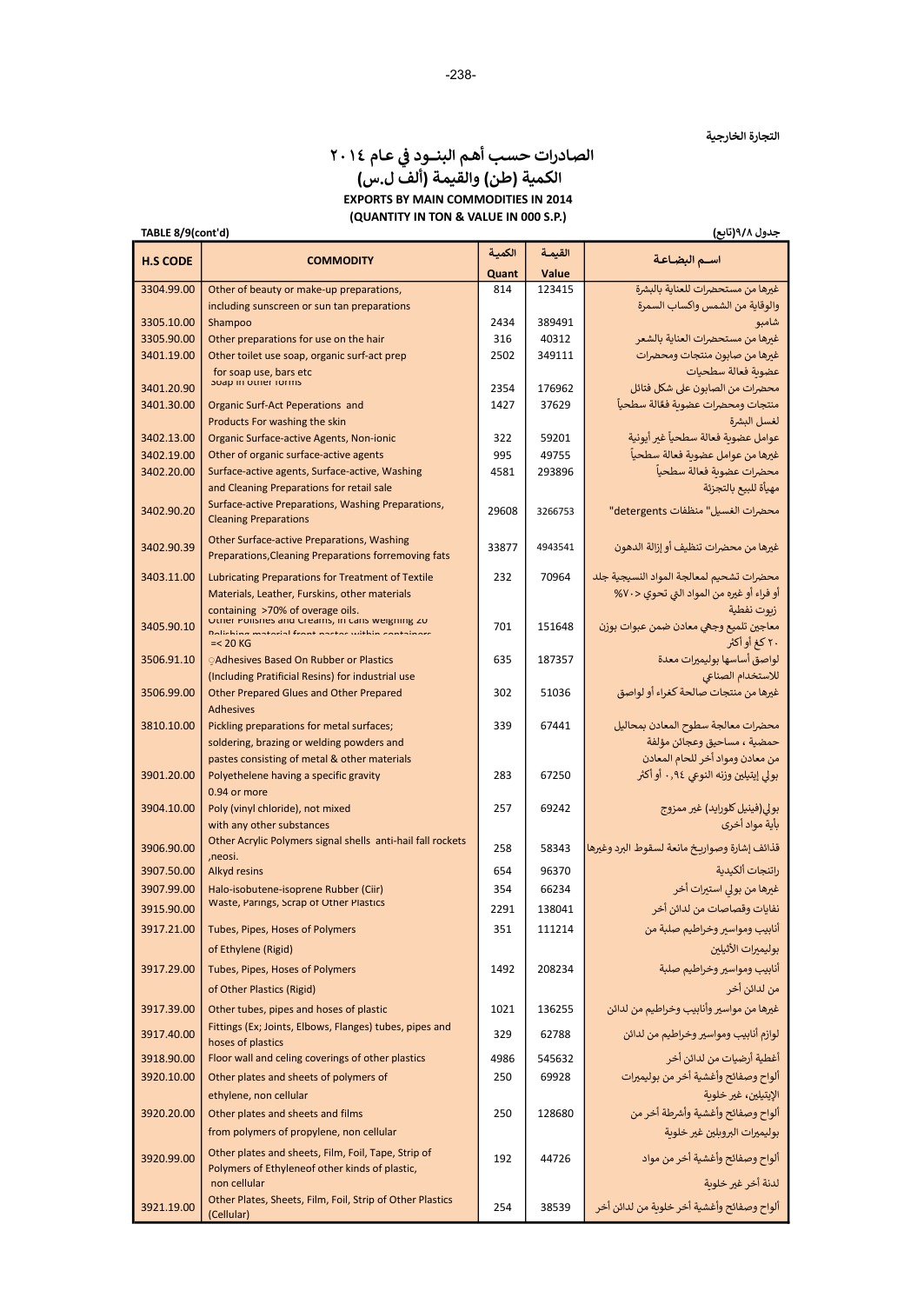### الصادرات حسب أهم البنــود في عـام ٢٠١٤ الكمية (طن) والقيمة (ألف ل.س) EXPORTS BY MAIN COMMODITIES IN 2014 (QUANTITY IN TON & VALUE IN 000 S.P.)

| TABLE 8/9(cont'd)        |                                                                                                       |             |                 | جدول ۹/۸(تابع)                                                |
|--------------------------|-------------------------------------------------------------------------------------------------------|-------------|-----------------|---------------------------------------------------------------|
| <b>H.S CODE</b>          | <b>COMMODITY</b>                                                                                      | الكمية      | القيمة          | اسم البضاعة                                                   |
|                          |                                                                                                       | Quant       | Value           |                                                               |
| 3304.99.00               | Other of beauty or make-up preparations,                                                              | 814         | 123415          | غيرها من مستحضرات للعناية بالبشرة                             |
|                          | including sunscreen or sun tan preparations                                                           |             |                 | والوقاية من الشمس واكساب السمرة                               |
| 3305.10.00<br>3305.90.00 | Shampoo<br>Other preparations for use on the hair                                                     | 2434<br>316 | 389491<br>40312 | شامبو<br>غيرها من مستحضرات العناية بالشعر                     |
| 3401.19.00               | Other toilet use soap, organic surf-act prep                                                          | 2502        | 349111          | غيرها من صابون منتجات ومحضرات                                 |
|                          | for soap use, bars etc                                                                                |             |                 | عضوبة فعالة سطحيات                                            |
| 3401.20.90               | soap in other forms                                                                                   | 2354        | 176962          | محضرات من الصابون على شكل فتائل                               |
| 3401.30.00               | Organic Surf-Act Peperations and                                                                      | 1427        | 37629           | منتجات ومحضرات عضوبة فغّالة سطحياً                            |
|                          | Products For washing the skin                                                                         |             |                 | لغسل البشرة                                                   |
| 3402.13.00               | Organic Surface-active Agents, Non-ionic                                                              | 322         | 59201           | عوامل عضوية فعالة سطحيآ غير أيونية                            |
| 3402.19.00<br>3402.20.00 | Other of organic surface-active agents<br>Surface-active agents, Surface-active, Washing              | 995<br>4581 | 49755<br>293896 | غيرها من عوامل عضوية فعالة سطحياً<br>محضرات عضوية فعالة سطحيآ |
|                          | and Cleaning Preparations for retail sale                                                             |             |                 | مهيأة للبيع بالتجزئة                                          |
|                          | Surface-active Preparations, Washing Preparations,                                                    |             |                 |                                                               |
| 3402.90.20               | <b>Cleaning Preparations</b>                                                                          | 29608       | 3266753         | محضرات الغسيل" منظفات detergents"                             |
| 3402.90.39               | Other Surface-active Preparations, Washing<br>Preparations, Cleaning Preparations forremoving fats    | 33877       | 4943541         | غيرها من محضرات تنظيف أو إزالة الدهون                         |
| 3403.11.00               | Lubricating Preparations for Treatment of Textile                                                     | 232         | 70964           | محضرات تشحيم لمعالجة المواد النسيجية جلد                      |
|                          | Materials, Leather, Furskins, other materials                                                         |             |                 | أو فراء أو غيره من المواد التي تحوي <٧٠%                      |
|                          | containing >70% of overage oils.<br>Other Polishes and Creams, in cans weighing zu                    |             |                 | زبوت نفطية                                                    |
| 3405.90.10               | ina matarial frant nactas within cantainare                                                           | 701         | 151648          | معاجين تلميع وجهي معادن ضمن عبوات بوزن                        |
|                          | $=< 20$ KG                                                                                            |             |                 | ۲۰ کغ او اکثر                                                 |
| 3506.91.10               | <b>OAdhesives Based On Rubber or Plastics</b><br>(Including Pratificial Resins) for industrial use    | 635         | 187357          | لواصق أساسها بوليميرات معدة                                   |
| 3506.99.00               | Other Prepared Glues and Other Prepared                                                               | 302         | 51036           | للاستخدام الصناعى<br>غيرها من منتجات صالحة كغراء أو لواصق     |
|                          | <b>Adhesives</b>                                                                                      |             |                 |                                                               |
| 3810.10.00               | Pickling preparations for metal surfaces;                                                             | 339         | 67441           | محضرات معالجة سطوح المعادن بمحاليل                            |
|                          | soldering, brazing or welding powders and                                                             |             |                 | حمضية ، مساحيق وعجائن مؤلفة                                   |
|                          | pastes consisting of metal & other materials                                                          |             |                 | من معادن ومواد أخر للحام المعادن                              |
| 3901.20.00               | Polyethelene having a specific gravity                                                                | 283         | 67250           | بولي إيتيلين وزنه النوعي ٠,٩٤ أو أكثر                         |
|                          | 0.94 or more<br>Poly (vinyl chloride), not mixed                                                      |             | 69242           |                                                               |
| 3904.10.00               | with any other substances                                                                             | 257         |                 | بولي(فينيل كلورايد) غير ممزوج<br>بأية مواد أخرى               |
|                          | Other Acrylic Polymers signal shells anti-hail fall rockets                                           |             |                 |                                                               |
| 3906.90.00               | ,neosi.                                                                                               | 258         | 58343           | قذائف إشارة وصواريخ مانعة لسقوط البرد وغيرها                  |
| 3907.50.00               | Alkyd resins                                                                                          | 654         | 96370           | راتنجات ألكيدية                                               |
| 3907.99.00               | Halo-isobutene-isoprene Rubber (Ciir)                                                                 | 354         | 66234           | غيرها من بولي استيرات أخر                                     |
| 3915.90.00               | Waste, Parings, Scrap of Other Plastics                                                               | 2291        | 138041          | نفايات وقصاصات من لدائن أخر                                   |
| 3917.21.00               | Tubes, Pipes, Hoses of Polymers                                                                       | 351         | 111214          | أنابيب ومواسير وخراطيم صلبة من                                |
|                          | of Ethylene (Rigid)                                                                                   |             |                 | بوليميرات الأثيلين                                            |
| 3917.29.00               | Tubes, Pipes, Hoses of Polymers                                                                       | 1492        | 208234          | أنابيب ومواسير وخراطيم صلبة                                   |
|                          | of Other Plastics (Rigid)                                                                             |             |                 | من لدائن أخر                                                  |
| 3917.39.00               | Other tubes, pipes and hoses of plastic                                                               | 1021        | 136255          | غيرها من مواسير وأنابيب وخراطيم من لدائن                      |
| 3917.40.00               | Fittings (Ex; Joints, Elbows, Flanges) tubes, pipes and<br>hoses of plastics                          | 329         | 62788           | لوازم أنابيب ومواسير وخراطيم من لدائن                         |
| 3918.90.00               | Floor wall and celing coverings of other plastics                                                     | 4986        | 545632          | أغطية أرضيات من لدائن أخر                                     |
| 3920.10.00               | Other plates and sheets of polymers of                                                                | 250         | 69928           | ألواح وصفائح وأغشية أخر من بوليمبرات                          |
|                          | ethylene, non cellular                                                                                |             |                 | الإيتيلين، غير خلوبة                                          |
| 3920.20.00               | Other plates and sheets and films                                                                     | 250         | 128680          | ألواح وصفائح وأغشية وأشرطة أخر من                             |
|                          | from polymers of propylene, non cellular                                                              |             |                 | بوليميرات البروبلين غير خلوبة                                 |
| 3920.99.00               | Other plates and sheets, Film, Foil, Tape, Strip of<br>Polymers of Ethyleneof other kinds of plastic, | 192         | 44726           | ألواح وصفائح وأغشية أخر من مواد                               |
|                          | non cellular                                                                                          |             |                 | لدنة أخر غير خلوبة                                            |
| 3921.19.00               | Other Plates, Sheets, Film, Foil, Strip of Other Plastics<br>(Cellular)                               | 254         | 38539           | ألواح وصفائح وأغشية أخر خلوية من لدائن أخر                    |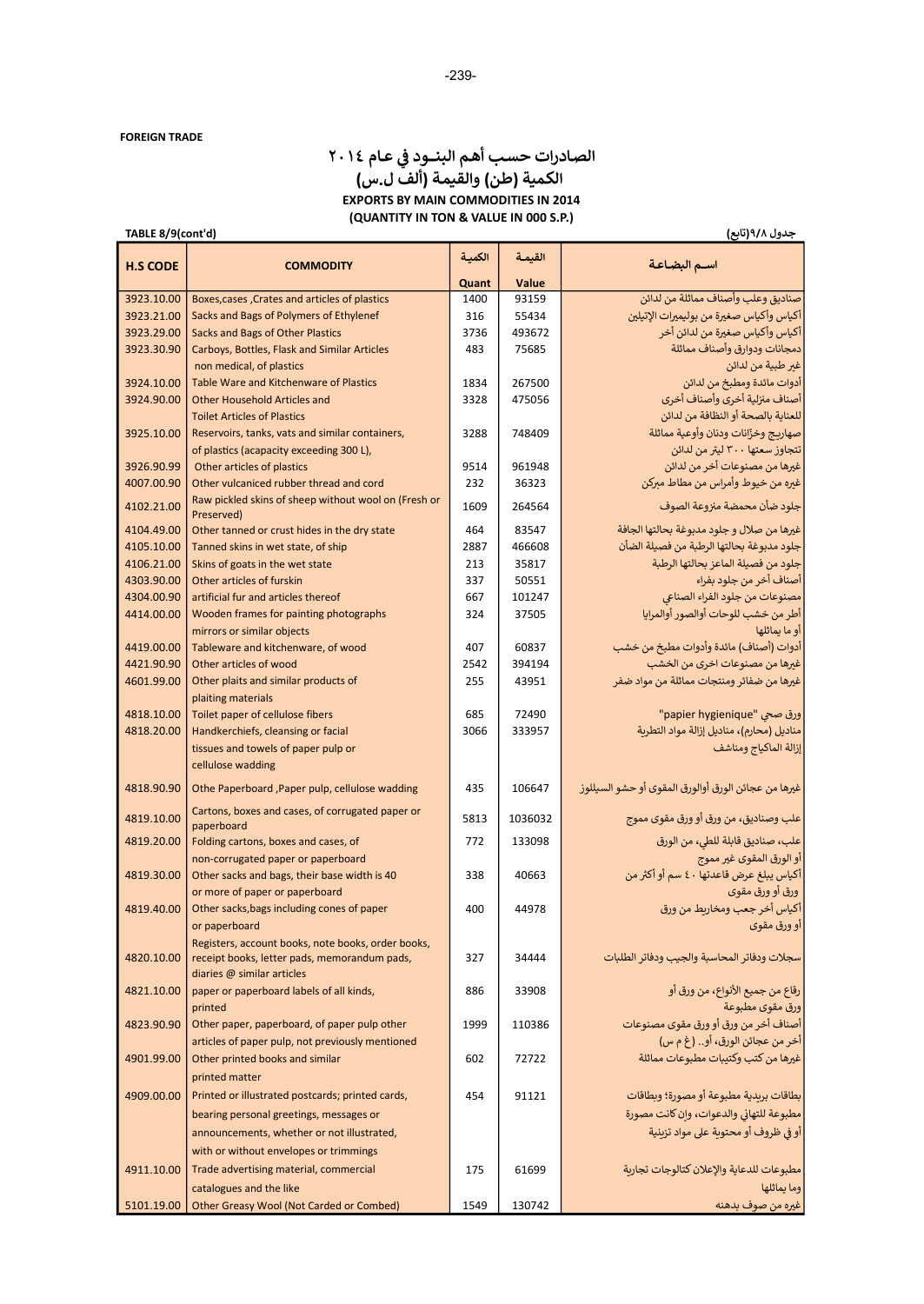#### حدول ۹/۸(تابع) (تابع) (تابع) معنى المعرفة (تابع) (تابع (TABLE 8/9(cont'd الصادرات حسب أهم البنــود في عـام ٢٠١٤<br>. الكمية (طن) والقيمة (ألف ل.س) EXPORTS BY MAIN COMMODITIES IN 2014 (QUANTITY IN TON & VALUE IN 000 S.P.)

| <b>H.S CODE</b>          | <b>COMMODITY</b>                                                                            | الكمية | القيمة  | اسم البضاعة                                                                 |
|--------------------------|---------------------------------------------------------------------------------------------|--------|---------|-----------------------------------------------------------------------------|
|                          |                                                                                             | Quant  | Value   |                                                                             |
| 3923.10.00               | Boxes, cases, Crates and articles of plastics                                               | 1400   | 93159   | صناديق وعلب وأصناف مماثلة من لدائن                                          |
| 3923.21.00               | Sacks and Bags of Polymers of Ethylenef                                                     | 316    | 55434   | أكياس وأكياس صغيرة من بوليميرات الإتيلين                                    |
| 3923.29.00               | Sacks and Bags of Other Plastics                                                            | 3736   | 493672  | أكياس وأكياس صغيرة من لدائن أخر                                             |
| 3923.30.90               | Carboys, Bottles, Flask and Similar Articles                                                | 483    | 75685   | دمجانات ودوارق وأصناف مماثلة                                                |
|                          | non medical, of plastics                                                                    |        |         | غير طبية من لدائن                                                           |
| 3924.10.00               | Table Ware and Kitchenware of Plastics                                                      | 1834   | 267500  | أدوات مائدة ومطبخ من لدائن                                                  |
| 3924.90.00               | <b>Other Household Articles and</b>                                                         | 3328   | 475056  | أصناف منزلية أخرى وأصناف أخرى                                               |
|                          | <b>Toilet Articles of Plastics</b>                                                          |        |         | للعناية بالصحة أو النظافة من لدائن                                          |
| 3925.10.00               | Reservoirs, tanks, vats and similar containers,<br>of plastics (acapacity exceeding 300 L), | 3288   | 748409  | صهاريج وخزّانات ودنان وأوعية مماثلة<br>تتجاوز سعتها ٣٠٠ ليتر من لدائن       |
| 3926.90.99               | Other articles of plastics                                                                  | 9514   | 961948  | غيرها من مصنوعات أخر من لدائن                                               |
| 4007.00.90               | Other vulcaniced rubber thread and cord                                                     | 232    | 36323   | غيره من خيوط وأمراس من مطاط مبركن                                           |
|                          | Raw pickled skins of sheep without wool on (Fresh or                                        |        |         |                                                                             |
| 4102.21.00               | Preserved)                                                                                  | 1609   | 264564  | جلود ضأن محمضة منزوعة الصوف                                                 |
| 4104.49.00               | Other tanned or crust hides in the dry state                                                | 464    | 83547   | غيرها من صلال و جلود مدبوغة بحالتها الجافة                                  |
| 4105.10.00               | Tanned skins in wet state, of ship                                                          | 2887   | 466608  | جلود مدبوغة بحالتها الرطبة من فصيلة الضأن                                   |
| 4106.21.00               | Skins of goats in the wet state                                                             | 213    | 35817   | جلود من فصيلة الماعز بحالتها الرطبة                                         |
| 4303.90.00               | Other articles of furskin                                                                   | 337    | 50551   | أصناف أخر من جلود بفراء                                                     |
| 4304.00.90               | artificial fur and articles thereof                                                         | 667    | 101247  | مصنوعات من جلود الفراء الصناعي                                              |
| 4414.00.00               | Wooden frames for painting photographs                                                      | 324    | 37505   | أطر من خشب للوحات أوالصور أوالمرايا                                         |
|                          | mirrors or similar objects                                                                  |        |         | أو ما يماثلها                                                               |
| 4419.00.00               | Tableware and kitchenware, of wood                                                          | 407    | 60837   | أدوات (أصناف) مائدة وأدوات مطبخ من خشب                                      |
| 4421.90.90<br>4601.99.00 | Other articles of wood                                                                      | 2542   | 394194  | غيرها من مصنوعات اخرى من الخشب<br>غيرها من ضفائر ومنتجات مماثلة من مواد ضفر |
|                          | Other plaits and similar products of<br>plaiting materials                                  | 255    | 43951   |                                                                             |
| 4818.10.00               | Toilet paper of cellulose fibers                                                            | 685    | 72490   | "papier hygienique"                                                         |
| 4818.20.00               | Handkerchiefs, cleansing or facial                                                          | 3066   | 333957  | مناديل (محارم)، مناديل إزالة مواد التطرية                                   |
|                          | tissues and towels of paper pulp or                                                         |        |         | إزالة الماكياج ومناشف                                                       |
|                          | cellulose wadding                                                                           |        |         |                                                                             |
| 4818.90.90               | Othe Paperboard , Paper pulp, cellulose wadding                                             | 435    | 106647  | غيرها من عجائن الورق أوالورق المقوى أو حشو السيللوز                         |
| 4819.10.00               | Cartons, boxes and cases, of corrugated paper or<br>paperboard                              | 5813   | 1036032 | علب وصناديق، من ورق أو ورق مقوى مموج                                        |
| 4819.20.00               | Folding cartons, boxes and cases, of                                                        | 772    | 133098  | علب، صناديق قابلة للطي، من الورق                                            |
|                          | non-corrugated paper or paperboard                                                          |        |         | أو الورق المقوى غير مموج                                                    |
| 4819.30.00               | Other sacks and bags, their base width is 40                                                | 338    | 40663   | أكياس يبلغ عرض قاعدتها ٤٠ سم أو أكثر من                                     |
|                          | or more of paper or paperboard                                                              |        |         | ورق أو ورق مقوى                                                             |
| 4819.40.00               | Other sacks, bags including cones of paper                                                  | 400    | 44978   | أكياس أخر جعب ومخاريط من ورق                                                |
|                          | or paperboard                                                                               |        |         | أو ورق مقوى                                                                 |
|                          | Registers, account books, note books, order books,                                          |        |         |                                                                             |
| 4820.10.00               | receipt books, letter pads, memorandum pads,                                                | 327    | 34444   | سجلات ودفاتر المحاسبة والجيب ودفاتر الطلبات                                 |
| 4821.10.00               | diaries @ similar articles<br>paper or paperboard labels of all kinds,                      | 886    | 33908   | رقاع من جميع الأنواع، من ورق أو                                             |
|                          | printed                                                                                     |        |         | ورق مقوى مطبوعة                                                             |
| 4823.90.90               | Other paper, paperboard, of paper pulp other                                                | 1999   | 110386  | أصناف أخر من ورق أو ورق مقوى مصنوعات                                        |
|                          | articles of paper pulp, not previously mentioned                                            |        |         | أخر من عجائن الورق، أو  (غ م س)                                             |
| 4901.99.00               | Other printed books and similar                                                             | 602    | 72722   | غيرها من كتب وكتيبات مطبوعات مماثلة                                         |
|                          | printed matter                                                                              |        |         |                                                                             |
| 4909.00.00               | Printed or illustrated postcards; printed cards,                                            | 454    | 91121   | بطاقات بربدية مطبوعة أو مصورة؛ وبطاقات                                      |
|                          | bearing personal greetings, messages or                                                     |        |         | مطبوعة للتهاني والدعوات، وإن كانت مصورة                                     |
|                          | announcements, whether or not illustrated,                                                  |        |         | أو في ظروف أو محتوية على مواد تزينية                                        |
|                          | with or without envelopes or trimmings                                                      |        |         |                                                                             |
| 4911.10.00               | Trade advertising material, commercial                                                      | 175    | 61699   | مطبوعات للدعاية والإعلان كتالوجات تجارية                                    |
|                          | catalogues and the like                                                                     |        |         | وما يماثلها                                                                 |
| 5101.19.00               | Other Greasy Wool (Not Carded or Combed)                                                    | 1549   | 130742  | غيره من صوف بدهنه                                                           |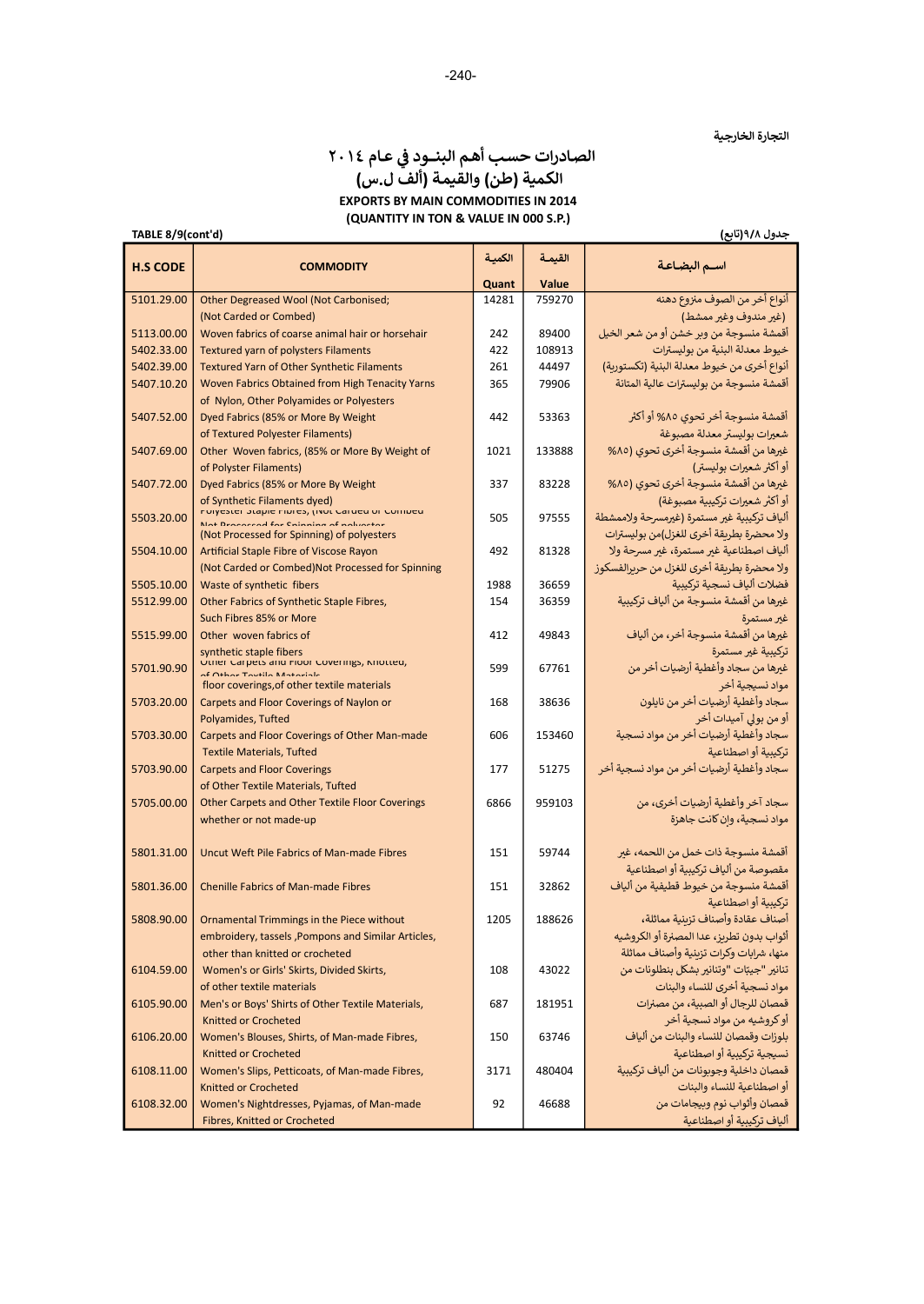# الصادرات حسب أهم البنــود في عـام ٢٠١٤<br>. الكمية (طن) والقيمة (ألف ل.س) EXPORTS BY MAIN COMMODITIES IN 2014 (QUANTITY IN TON & VALUE IN 000 S.P.)

TABLE 8/9(cont'd)

#### جدول ٩ͭ٨(تابع)

| <b>H.S CODE</b> | <b>COMMODITY</b>                                                                                                         | الكمية<br>Quant | القيمة<br>Value | اسـم البضـاعـة                                           |
|-----------------|--------------------------------------------------------------------------------------------------------------------------|-----------------|-----------------|----------------------------------------------------------|
| 5101.29.00      | Other Degreased Wool (Not Carbonised;                                                                                    | 14281           | 759270          | أنواع أخر من الصوف منزوع دهنه                            |
|                 | (Not Carded or Combed)                                                                                                   |                 |                 | (غير مندوف وغير ممشط)                                    |
| 5113.00.00      | Woven fabrics of coarse animal hair or horsehair                                                                         | 242             | 89400           | أقمشة منسوجة من وبر خشن أو من شعر الخيل                  |
| 5402.33.00      | <b>Textured yarn of polysters Filaments</b>                                                                              | 422             | 108913          | خيوط معدلة البنية من بوليسترات                           |
| 5402.39.00      | Textured Yarn of Other Synthetic Filaments                                                                               | 261             | 44497           | أنواع أخرى من خيوط معدلة البنية (تكستورية)               |
| 5407.10.20      | Woven Fabrics Obtained from High Tenacity Yarns                                                                          | 365             | 79906           | أقمشة منسوجة من بوليسترات عالية المتانة                  |
|                 | of Nylon, Other Polyamides or Polyesters                                                                                 |                 |                 |                                                          |
| 5407.52.00      | Dyed Fabrics (85% or More By Weight                                                                                      | 442             | 53363           | أقمشة منسوجة أخر تحوي ٨٥% أو أكثر                        |
|                 | of Textured Polyester Filaments)                                                                                         |                 |                 | شعيرات بوليستر معدلة مصبوغة                              |
| 5407.69.00      | Other Woven fabrics, (85% or More By Weight of                                                                           | 1021            | 133888          | غيرها من أقمشة منسوجة أخرى تحوى (٨٥%                     |
|                 | of Polyster Filaments)                                                                                                   |                 |                 | أو أكثر شعيرات بوليستر)                                  |
| 5407.72.00      | Dyed Fabrics (85% or More By Weight                                                                                      | 337             | 83228           | غيرها من أقمشة منسوجة أخرى تحوي (٨٥%                     |
|                 |                                                                                                                          |                 |                 | أو أكثر شعيرات تركيبية مصبوغة)                           |
| 5503.20.00      | of Synthetic Filaments dyed)<br>Polyester Stapie Fibres, (Not Carded or Combed<br>Not Beneared for Sninning of polyester | 505             | 97555           | ألياف تركيبية غير مستمرة (غيرمسرحة ولاممشطة              |
|                 | (Not Processed for Spinning) of polyesters                                                                               |                 |                 | ولا محضرة بطريقة أخرى للغزل)من بوليسترات                 |
| 5504.10.00      | Artificial Staple Fibre of Viscose Rayon                                                                                 | 492             | 81328           | ألياف اصطناعية غير مستمرة، غير مسرحة ولا                 |
|                 | (Not Carded or Combed) Not Processed for Spinning                                                                        |                 |                 | ولا محضرة بطريقة أخرى للغزل من حربرالفسكوز               |
| 5505.10.00      | Waste of synthetic fibers                                                                                                | 1988            | 36659           | فضلات ألياف نسجية تركيبية                                |
| 5512.99.00      | Other Fabrics of Synthetic Staple Fibres,                                                                                | 154             | 36359           | غيرها من أقمشة منسوجة من ألياف تركيبية                   |
|                 | Such Fibres 85% or More                                                                                                  |                 |                 | غير مستمرة                                               |
| 5515.99.00      | Other woven fabrics of                                                                                                   | 412             | 49843           | غيرها من أقمشة منسوجة أخر، من ألياف                      |
|                 | synthetic staple fibers                                                                                                  |                 |                 | تركيبية غير مستمرة                                       |
| 5701.90.90      | Other Carpets and noor Coverings, Miotted,<br>of Other Teutile Meteriale                                                 | 599             | 67761           | غيرها من سجاد وأغطية أرضيات أخر من                       |
|                 | floor coverings, of other textile materials                                                                              |                 |                 | مواد نسبجية أخر                                          |
| 5703.20.00      | Carpets and Floor Coverings of Naylon or                                                                                 | 168             | 38636           | سجاد وأغطية أرضيات أخر من نايلون                         |
|                 | Polyamides, Tufted                                                                                                       |                 |                 | أو من بولى آميدات أخر                                    |
| 5703.30.00      | Carpets and Floor Coverings of Other Man-made                                                                            | 606             | 153460          | سجاد وأغطية أرضيات أخر من مواد نسجية                     |
|                 | <b>Textile Materials, Tufted</b>                                                                                         |                 |                 | تركيبية أو اصطناعية                                      |
| 5703.90.00      | <b>Carpets and Floor Coverings</b>                                                                                       | 177             | 51275           | سجاد وأغطية أرضيات أخر من مواد نسجية أخر                 |
|                 | of Other Textile Materials, Tufted                                                                                       |                 |                 |                                                          |
| 5705.00.00      | Other Carpets and Other Textile Floor Coverings                                                                          | 6866            | 959103          | سجاد آخر وأغطية أرضيات أخرى، من                          |
|                 | whether or not made-up                                                                                                   |                 |                 | مواد نسجية، وان كانت جاهزة                               |
|                 |                                                                                                                          |                 |                 |                                                          |
| 5801.31.00      | Uncut Weft Pile Fabrics of Man-made Fibres                                                                               | 151             | 59744           | أقمشة منسوجة ذات خمل من اللحمه، غير                      |
|                 |                                                                                                                          |                 |                 | مقصوصة من ألياف تركيبية أو اصطناعية                      |
| 5801.36.00      | <b>Chenille Fabrics of Man-made Fibres</b>                                                                               | 151             | 32862           | أقمشة منسوجة من خيوط قطيفية من ألياف                     |
| 5808.90.00      |                                                                                                                          | 1205            | 188626          | تركيبية أو اصطناعية<br>أصناف عقادة وأصناف تزبنية مماثلة، |
|                 | Ornamental Trimmings in the Piece without<br>embroidery, tassels, Pompons and Similar Articles,                          |                 |                 | أثواب بدون تطربز، عدا المصنرة أو الكروشيه                |
|                 | other than knitted or crocheted                                                                                          |                 |                 | منها، شرابات وكرات تزىنية وأصناف مماثلة                  |
| 6104.59.00      | Women's or Girls' Skirts, Divided Skirts,                                                                                | 108             | 43022           | تنانير "جيبّات "وتنانير بشكل بنطلونات من                 |
|                 | of other textile materials                                                                                               |                 |                 | مواد نسجية أخرى للنساء والبنات                           |
| 6105.90.00      | Men's or Boys' Shirts of Other Textile Materials,                                                                        | 687             | 181951          | قمصان للرجال أو الصبية، من مصنرات                        |
|                 | Knitted or Crocheted                                                                                                     |                 |                 | أو كروشيه من مواد نسجية أخر                              |
| 6106.20.00      | Women's Blouses, Shirts, of Man-made Fibres,                                                                             | 150             | 63746           | بلوزات وقمصان للنساء والبنات من ألياف                    |
|                 | <b>Knitted or Crocheted</b>                                                                                              |                 |                 | نسيجية تركينية أو اصطناعية                               |
| 6108.11.00      | Women's Slips, Petticoats, of Man-made Fibres,                                                                           | 3171            | 480404          | قمصان داخلية وجوبونات من ألياف تركيبية                   |
|                 | <b>Knitted or Crocheted</b>                                                                                              |                 |                 | أو اصطناعية للنساء والبنات                               |
| 6108.32.00      | Women's Nightdresses, Pyjamas, of Man-made                                                                               | 92              | 46688           | قمصان وأثواب نوم وبيجامات من                             |
|                 | Fibres, Knitted or Crocheted                                                                                             |                 |                 | ألياف تركيبية أو اصطناعية                                |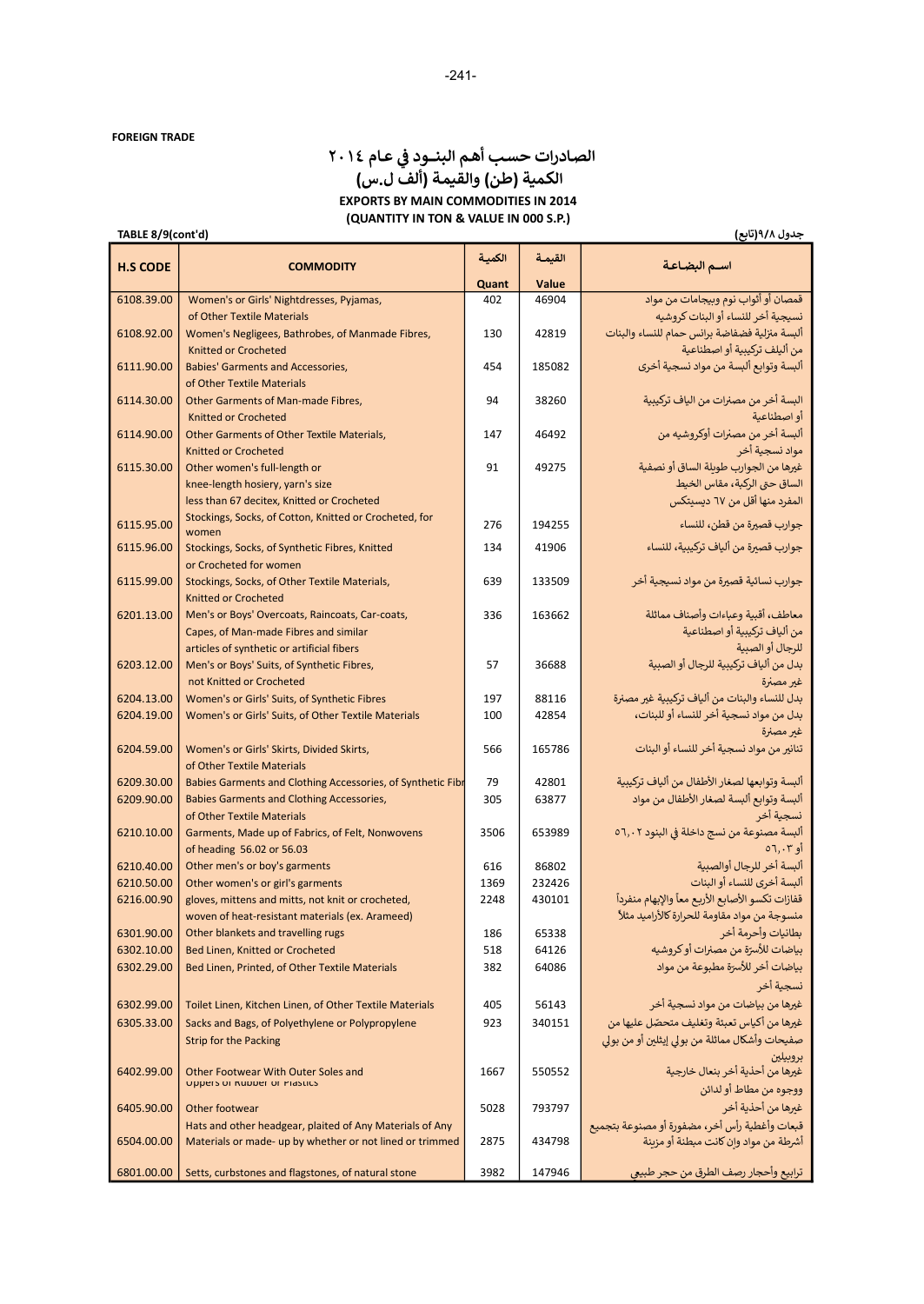# الصادرات حسب أهم البنــود في عـام ٢٠١٤<br>. الكمية (طن) والقيمة (ألف ل.س) EXPORTS BY MAIN COMMODITIES IN 2014 (QUANTITY IN TON & VALUE IN 000 S.P.)

#### جدول ٩/٨(تابع)

| <b>H.S CODE</b> | <b>COMMODITY</b>                                                                         | الكمية     | القيمة | اسـم البضـاعـة                                                      |
|-----------------|------------------------------------------------------------------------------------------|------------|--------|---------------------------------------------------------------------|
|                 |                                                                                          | Quant      | Value  |                                                                     |
| 6108.39.00      | Women's or Girls' Nightdresses, Pyjamas,                                                 | 402        | 46904  | قمصان أو أثواب نوم وبيجامات من مواد                                 |
|                 | of Other Textile Materials                                                               |            |        | نسيجية أخر للنساء أو البنات كروشيه                                  |
| 6108.92.00      | Women's Negligees, Bathrobes, of Manmade Fibres,                                         | 130        | 42819  | ألبسة منزلية فضفاضة برانس حمام للنساء والبنات                       |
|                 | <b>Knitted or Crocheted</b>                                                              | 454        | 185082 | من أليلف تركيبية أو اصطناعية                                        |
| 6111.90.00      | <b>Babies' Garments and Accessories,</b><br>of Other Textile Materials                   |            |        | ألبسة وتوابع ألبسة من مواد نسجية أخرى                               |
| 6114.30.00      | Other Garments of Man-made Fibres,                                                       | 94         | 38260  | البسة أخر من مصنرات من الياف تركيبية                                |
|                 | <b>Knitted or Crocheted</b>                                                              |            |        | أو اصطناعية                                                         |
| 6114.90.00      | Other Garments of Other Textile Materials,                                               | 147        | 46492  | ألبسة أخر من مصنرات أوكروشيه من                                     |
|                 | <b>Knitted or Crocheted</b>                                                              |            |        | مواد نسجية أخر                                                      |
| 6115.30.00      | Other women's full-length or                                                             | 91         | 49275  | غيرها من الجوارب طوبلة الساق أو نصفية                               |
|                 | knee-length hosiery, yarn's size                                                         |            |        | الساق حتى الركبة، مقاس الخيط                                        |
|                 | less than 67 decitex, Knitted or Crocheted                                               |            |        | المفرد منها أقل من ٦٧ ديسيتكس                                       |
| 6115.95.00      | Stockings, Socks, of Cotton, Knitted or Crocheted, for                                   | 276        | 194255 | جوارب قصيرة من قطن، للنساء                                          |
|                 | women                                                                                    |            |        |                                                                     |
| 6115.96.00      | Stockings, Socks, of Synthetic Fibres, Knitted                                           | 134        | 41906  | جوارب قصيرة من ألياف تركيبية، للنساء                                |
|                 | or Crocheted for women                                                                   |            |        |                                                                     |
| 6115.99.00      | Stockings, Socks, of Other Textile Materials,                                            | 639        | 133509 | جوارب نسائية قصيرة من مواد نسيجية أخر                               |
| 6201.13.00      | Knitted or Crocheted                                                                     | 336        | 163662 | معاطف، أقبية وعباءات وأصناف مماثلة                                  |
|                 | Men's or Boys' Overcoats, Raincoats, Car-coats,<br>Capes, of Man-made Fibres and similar |            |        | من ألياف تركيبية أو اصطناعية                                        |
|                 | articles of synthetic or artificial fibers                                               |            |        | للرجال أو الصبية                                                    |
| 6203.12.00      | Men's or Boys' Suits, of Synthetic Fibres,                                               | 57         | 36688  | بدل من ألياف تركيبية للرجال أو الصبية                               |
|                 | not Knitted or Crocheted                                                                 |            |        | غير مصنرة                                                           |
| 6204.13.00      | Women's or Girls' Suits, of Synthetic Fibres                                             | 197        | 88116  | بدل للنساء والبنات من ألياف تركيبية غير مصنرة                       |
| 6204.19.00      | Women's or Girls' Suits, of Other Textile Materials                                      | 100        | 42854  | بدل من مواد نسجية أخر للنساء أو للبنات،                             |
|                 |                                                                                          |            |        | غير مصنرة                                                           |
| 6204.59.00      | Women's or Girls' Skirts, Divided Skirts,                                                | 566        | 165786 | تنانير من مواد نسجية أخر للنساء أو البنات                           |
|                 | of Other Textile Materials                                                               |            |        |                                                                     |
| 6209.30.00      | Babies Garments and Clothing Accessories, of Synthetic Fibr                              | 79         | 42801  | ألبسة وتوابعها لصغار الأطفال من ألياف تركيبية                       |
| 6209.90.00      | Babies Garments and Clothing Accessories,                                                | 305        | 63877  | ألبسة وتوابع ألبسة لصغار الأطفال من مواد                            |
|                 | of Other Textile Materials                                                               |            |        | نسجية أخر                                                           |
| 6210.10.00      | Garments, Made up of Fabrics, of Felt, Nonwovens                                         | 3506       | 653989 | ألبسة مصنوعة من نسج داخلة في البنود ٥٦,٠٢                           |
|                 | of heading 56.02 or 56.03                                                                |            |        | أو ٦,٠٣ه                                                            |
| 6210.40.00      | Other men's or boy's garments                                                            | 616        | 86802  | ألبسة أخر للرجال أوالصبية                                           |
| 6210.50.00      | Other women's or girl's garments                                                         | 1369       | 232426 | ألبسة أخرى للنساء أو البنات                                         |
| 6216.00.90      | gloves, mittens and mitts, not knit or crocheted,                                        | 2248       | 430101 | قفازات تكسو الأصابع الأربع معأ والإبهام منفردأ                      |
| 6301.90.00      | woven of heat-resistant materials (ex. Arameed)<br>Other blankets and travelling rugs    |            | 65338  | منسوجة من مواد مقاومة للحرارة كالأراميد مثلاً<br>بطانيات وأحرمة أخر |
| 6302.10.00      | Bed Linen, Knitted or Crocheted                                                          | 186<br>518 | 64126  | بياضات للأسرّة من مصنرات أو كروشيه                                  |
| 6302.29.00      | Bed Linen, Printed, of Other Textile Materials                                           | 382        | 64086  | بياضات أخر للأسرّة مطبوعة من مواد                                   |
|                 |                                                                                          |            |        | نسجية أخر                                                           |
| 6302.99.00      | Toilet Linen, Kitchen Linen, of Other Textile Materials                                  | 405        | 56143  | غيرها من بياضات من مواد نسجية أخر                                   |
| 6305.33.00      | Sacks and Bags, of Polyethylene or Polypropylene                                         | 923        | 340151 | غيرها من أكياس تعبئة وتغليف متحصّل عليها من                         |
|                 | <b>Strip for the Packing</b>                                                             |            |        | صفيحات وأشكال مماثلة من بولي إيثلين أو من بولي                      |
|                 |                                                                                          |            |        | بروبيلين                                                            |
| 6402.99.00      | Other Footwear With Outer Soles and                                                      | 1667       | 550552 | غيرها من أحذية أخر بنعال خارجية                                     |
|                 | <b>Uppers of KUDDET OF PIASTICS</b>                                                      |            |        | ووجوه من مطاط أو لدائن                                              |
| 6405.90.00      | Other footwear                                                                           | 5028       | 793797 | غيرها من أحذية أخر                                                  |
|                 | Hats and other headgear, plaited of Any Materials of Any                                 |            |        | قبعات وأغطية رأس أخر، مضفورة أو مصنوعة بتجميع                       |
| 6504.00.00      | Materials or made- up by whether or not lined or trimmed                                 | 2875       | 434798 | أشرطة من مواد وإن كانت مبطنة أو مزينة                               |
|                 |                                                                                          |            |        |                                                                     |
|                 | 6801.00.00   Setts, curbstones and flagstones, of natural stone                          | 3982       | 147946 | ترابيع وأحجار رصف الطرق من حجر طبيعي                                |

# TABLE 8/9(cont'd)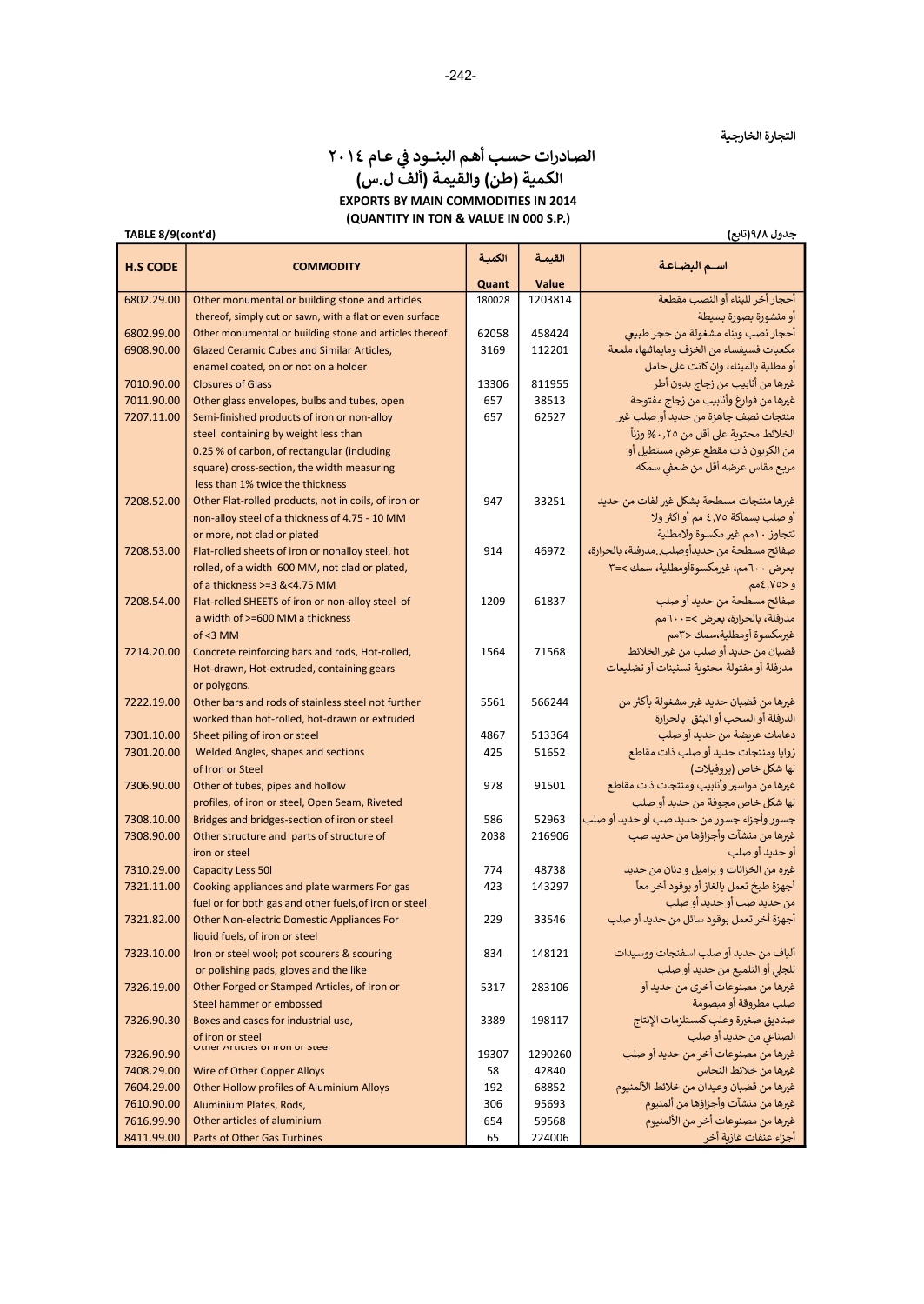# الصادرات حسب أهم البنــود في عـام ٢٠١٤<br>. الكمية (طن) والقيمة (ألف ل.س) EXPORTS BY MAIN COMMODITIES IN 2014 (QUANTITY IN TON & VALUE IN 000 S.P.)

جدول ٩ͭ٨(تابع)

| TABLE 8/9(cont'd) |                                                                    |        |         | جدول ۹/۸(تابع)                                                                    |
|-------------------|--------------------------------------------------------------------|--------|---------|-----------------------------------------------------------------------------------|
| <b>H.S CODE</b>   | <b>COMMODITY</b>                                                   | الكمية | القيمة  | اسم البضاعة                                                                       |
|                   |                                                                    | Quant  | Value   |                                                                                   |
| 6802.29.00        | Other monumental or building stone and articles                    | 180028 | 1203814 | أحجار أخر للبناء أو النصب مقطعة                                                   |
|                   | thereof, simply cut or sawn, with a flat or even surface           |        |         | أو منشورة بصورة بسيطة                                                             |
| 6802.99.00        | Other monumental or building stone and articles thereof            | 62058  | 458424  | أحجار نصب وبناء مشغولة من حجر طبيعي                                               |
| 6908.90.00        | Glazed Ceramic Cubes and Similar Articles,                         | 3169   | 112201  | مكعبات فسيفساء من الخزف ومايماثلها، ملمعة                                         |
|                   | enamel coated, on or not on a holder                               |        |         | أو مطلية بالميناء، وان كانت على حامل                                              |
| 7010.90.00        | <b>Closures of Glass</b>                                           | 13306  | 811955  | غيرها من أنابيب من زجاج بدون أطر                                                  |
| 7011.90.00        | Other glass envelopes, bulbs and tubes, open                       | 657    | 38513   | غيرها من فوارغ وأنابيب من زجاج مفتوحة                                             |
| 7207.11.00        | Semi-finished products of iron or non-alloy                        | 657    | 62527   | منتجات نصف جاهزة من حديد أو صلب غير                                               |
|                   | steel containing by weight less than                               |        |         | الخلائط محتوية على أقل من ٠,٢٥% وزناً                                             |
|                   | 0.25 % of carbon, of rectangular (including                        |        |         | من الكربون ذات مقطع عرضى مستطيل أو                                                |
|                   | square) cross-section, the width measuring                         |        |         | مربع مقاس عرضه أقل من ضعفى سمكه                                                   |
|                   | less than 1% twice the thickness                                   |        |         |                                                                                   |
| 7208.52.00        | Other Flat-rolled products, not in coils, of iron or               | 947    | 33251   | غيرها منتجات مسطحة بشكل غير لفات من حديد                                          |
|                   | non-alloy steel of a thickness of 4.75 - 10 MM                     |        |         | أو صلب بسماكة ٤٫٧٥ مم أو اكثر ولا                                                 |
|                   | or more, not clad or plated                                        |        |         | تتجاوز ١٠مم غير مكسوة ولامطلية                                                    |
| 7208.53.00        | Flat-rolled sheets of iron or nonalloy steel, hot                  | 914    | 46972   | صفائح مسطحة من حديدأوصلب. مدرفلة، بالحرارة،                                       |
|                   | rolled, of a width 600 MM, not clad or plated,                     |        |         | بعرض ٦٠٠مم، غيرمكسوةأومطلية، سمك >=٣                                              |
|                   | of a thickness >=3 &<4.75 MM                                       |        |         | و <٧٥, ١٥مم                                                                       |
| 7208.54.00        | Flat-rolled SHEETS of iron or non-alloy steel of                   | 1209   | 61837   | صفائح مسطحة من حديد أو صلب                                                        |
|                   | a width of >=600 MM a thickness                                    |        |         | مدرفلة، بالحرارة، بعرض >= ٦٠٠هم                                                   |
|                   | $of < 3$ MM                                                        |        |         | غيرمكسوة أومطلية،سمك <٣مم                                                         |
| 7214.20.00        | Concrete reinforcing bars and rods, Hot-rolled,                    | 1564   | 71568   | قضبان من حديد أو صلب من غير الخلائط<br>مدرفلة أو مفتولة محتوبة تسنينات أو تضليعات |
|                   | Hot-drawn, Hot-extruded, containing gears                          |        |         |                                                                                   |
| 7222.19.00        | or polygons.<br>Other bars and rods of stainless steel not further | 5561   | 566244  | غيرها من قضبان حديد غير مشغولة بأكثر من                                           |
|                   | worked than hot-rolled, hot-drawn or extruded                      |        |         | الدرفلة أو السحب أو البثق بالحرارة                                                |
| 7301.10.00        | Sheet piling of iron or steel                                      | 4867   | 513364  | دعامات عربضة من حديد أو صلب                                                       |
| 7301.20.00        | Welded Angles, shapes and sections                                 | 425    | 51652   | زوايا ومنتجات حديد أو صلب ذات مقاطع                                               |
|                   | of Iron or Steel                                                   |        |         | لها شكل خاص (بروفيلات)                                                            |
| 7306.90.00        | Other of tubes, pipes and hollow                                   | 978    | 91501   | غيرها من مواسير وأنابيب ومنتجات ذات مقاطع                                         |
|                   | profiles, of iron or steel, Open Seam, Riveted                     |        |         | لها شكل خاص مجوفة من حديد أو صلب                                                  |
| 7308.10.00        | Bridges and bridges-section of iron or steel                       | 586    | 52963   | جسور وأجزاء جسور من حديد صب أو حديد أو صلب                                        |
| 7308.90.00        | Other structure and parts of structure of                          | 2038   | 216906  | غيرها من منشآت وأجزاؤها من حديد صب                                                |
|                   | iron or steel                                                      |        |         | أو حديد أو صلب                                                                    |
| 7310.29.00        | <b>Capacity Less 50I</b>                                           | 774    | 48738   | غيره من الخزانات و براميل و دنان من حديد                                          |
| 7321.11.00        | Cooking appliances and plate warmers For gas                       | 423    | 143297  | أجهزة طبخ تعمل بالغاز أو بوقود أخر معاً                                           |
|                   | fuel or for both gas and other fuels, of iron or steel             |        |         | من حديد صب أو حديد أو صلب                                                         |
| 7321.82.00        | Other Non-electric Domestic Appliances For                         | 229    | 33546   | أجهزة أخر تعمل بوقود سائل من حديد أو صلب                                          |
|                   | liquid fuels, of iron or steel                                     |        |         |                                                                                   |
| 7323.10.00        | Iron or steel wool; pot scourers & scouring                        | 834    | 148121  | ألياف من حديد أو صلب اسفنجات ووسيدات                                              |
|                   | or polishing pads, gloves and the like                             |        |         | للجلى أو التلميع من حديد أو صلب                                                   |
| 7326.19.00        | Other Forged or Stamped Articles, of Iron or                       | 5317   | 283106  | غيرها من مصنوعات أخرى من حديد أو                                                  |
|                   | Steel hammer or embossed                                           |        |         | صلب مطروقة أو مبصومة                                                              |
| 7326.90.30        | Boxes and cases for industrial use,                                | 3389   | 198117  | صناديق صغيرة وعلب كمستلزمات الإنتاج                                               |
|                   | of iron or steel                                                   |        |         | الصناعي من حديد أو صلب                                                            |
| 7326.90.90        | Other Articles of front or steel                                   | 19307  | 1290260 | غيرها من مصنوعات أخر من حديد أو صلب                                               |
| 7408.29.00        | Wire of Other Copper Alloys                                        | 58     | 42840   | غيرها من خلائط النحاس                                                             |
| 7604.29.00        | Other Hollow profiles of Aluminium Alloys                          | 192    | 68852   | غيرها من قضبان وعيدان من خلائط الألمنيوم                                          |
| 7610.90.00        | Aluminium Plates, Rods,                                            | 306    | 95693   | غيرها من منشآت وأجزاؤها من ألمنيوم                                                |
| 7616.99.90        | Other articles of aluminium                                        | 654    | 59568   | غيرها من مصنوعات أخر من الألمنيوم                                                 |
| 8411.99.00        | Parts of Other Gas Turbines                                        | 65     | 224006  | أجزاء عنفات غازية أخر                                                             |